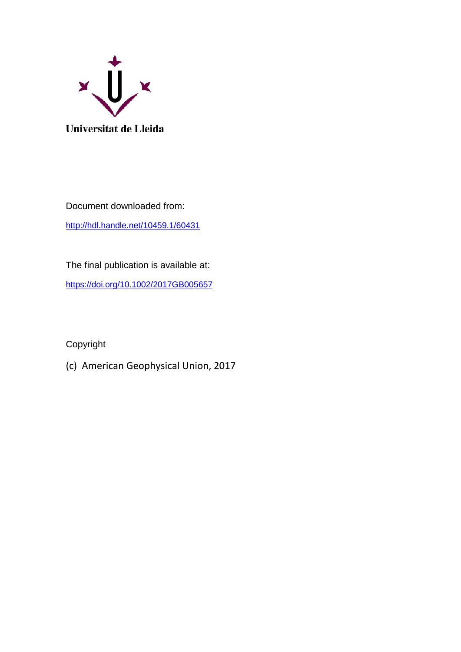

Document downloaded from: <http://hdl.handle.net/10459.1/60431>

The final publication is available at: <https://doi.org/10.1002/2017GB005657>

Copyright

(c) American Geophysical Union, 2017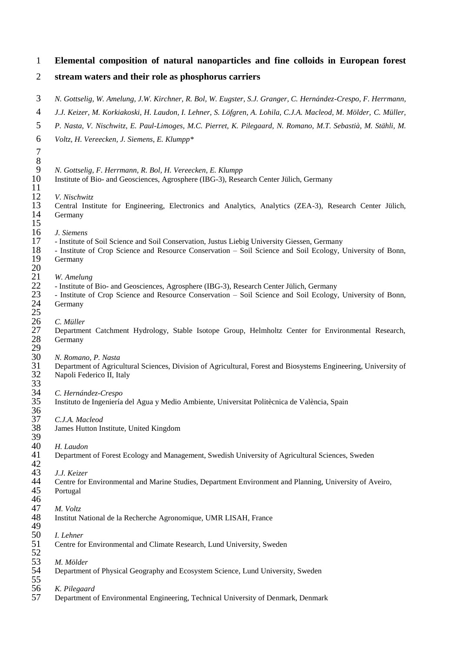| $\mathbf{1}$                                 | Elemental composition of natural nanoparticles and fine colloids in European forest                                                                  |
|----------------------------------------------|------------------------------------------------------------------------------------------------------------------------------------------------------|
| 2                                            | stream waters and their role as phosphorus carriers                                                                                                  |
| 3                                            | N. Gottselig, W. Amelung, J.W. Kirchner, R. Bol, W. Eugster, S.J. Granger, C. Hernández-Crespo, F. Herrmann,                                         |
| $\overline{4}$                               | J.J. Keizer, M. Korkiakoski, H. Laudon, I. Lehner, S. Löfgren, A. Lohila, C.J.A. Macleod, M. Mölder, C. Müller,                                      |
| 5                                            | P. Nasta, V. Nischwitz, E. Paul-Limoges, M.C. Pierret, K. Pilegaard, N. Romano, M.T. Sebastià, M. Stähli, M.                                         |
| 6                                            | Voltz, H. Vereecken, J. Siemens, E. Klumpp*                                                                                                          |
| $\tau$                                       |                                                                                                                                                      |
| $8\,$<br>9                                   |                                                                                                                                                      |
| 10                                           | N. Gottselig, F. Herrmann, R. Bol, H. Vereecken, E. Klumpp<br>Institute of Bio- and Geosciences, Agrosphere (IBG-3), Research Center Jülich, Germany |
| 11                                           |                                                                                                                                                      |
| 12                                           | V. Nischwitz                                                                                                                                         |
| 13<br>14                                     | Central Institute for Engineering, Electronics and Analytics, Analytics (ZEA-3), Research Center Jülich,<br>Germany                                  |
| 15                                           |                                                                                                                                                      |
| 16                                           | J. Siemens                                                                                                                                           |
| 17                                           | - Institute of Soil Science and Soil Conservation, Justus Liebig University Giessen, Germany                                                         |
| 18                                           | - Institute of Crop Science and Resource Conservation - Soil Science and Soil Ecology, University of Bonn,                                           |
| 19<br>20                                     | Germany                                                                                                                                              |
| $\frac{21}{1}$                               | W. Amelung                                                                                                                                           |
| $\frac{22}{23}$<br>$\frac{24}{11}$           | - Institute of Bio- and Geosciences, Agrosphere (IBG-3), Research Center Jülich, Germany                                                             |
|                                              | - Institute of Crop Science and Resource Conservation - Soil Science and Soil Ecology, University of Bonn,                                           |
|                                              | Germany                                                                                                                                              |
| $\frac{25}{26}$                              | C. Müller                                                                                                                                            |
| 27                                           | Department Catchment Hydrology, Stable Isotope Group, Helmholtz Center for Environmental Research,                                                   |
| 28<br>29                                     | Germany                                                                                                                                              |
| 30                                           | N. Romano, P. Nasta                                                                                                                                  |
| 31                                           | Department of Agricultural Sciences, Division of Agricultural, Forest and Biosystems Engineering, University of                                      |
| 32                                           | Napoli Federico II, Italy                                                                                                                            |
| 33                                           |                                                                                                                                                      |
| 34<br>35                                     | C. Hernández-Crespo                                                                                                                                  |
| 36                                           | Instituto de Ingeniería del Agua y Medio Ambiente, Universitat Politècnica de València, Spain                                                        |
| 37                                           | C.J.A. Macleod                                                                                                                                       |
| 38                                           | James Hutton Institute, United Kingdom                                                                                                               |
| 39                                           |                                                                                                                                                      |
|                                              | H. Laudon<br>Department of Forest Ecology and Management, Swedish University of Agricultural Sciences, Sweden                                        |
| 40<br>41<br>43<br>43<br>45<br>45<br>46<br>47 |                                                                                                                                                      |
|                                              | J.J. Keizer                                                                                                                                          |
|                                              | Centre for Environmental and Marine Studies, Department Environment and Planning, University of Aveiro,                                              |
|                                              | Portugal                                                                                                                                             |
|                                              | M. Voltz                                                                                                                                             |
| 48                                           | Institut National de la Recherche Agronomique, UMR LISAH, France                                                                                     |
| 49                                           |                                                                                                                                                      |
| 50                                           | I. Lehner                                                                                                                                            |
| 51                                           | Centre for Environmental and Climate Research, Lund University, Sweden                                                                               |
| 52<br>53<br>54                               | M. Mölder                                                                                                                                            |
|                                              | Department of Physical Geography and Ecosystem Science, Lund University, Sweden                                                                      |
| 55<br>56                                     | K. Pilegaard                                                                                                                                         |
| 57                                           | Department of Environmental Engineering, Technical University of Denmark, Denmark                                                                    |
|                                              |                                                                                                                                                      |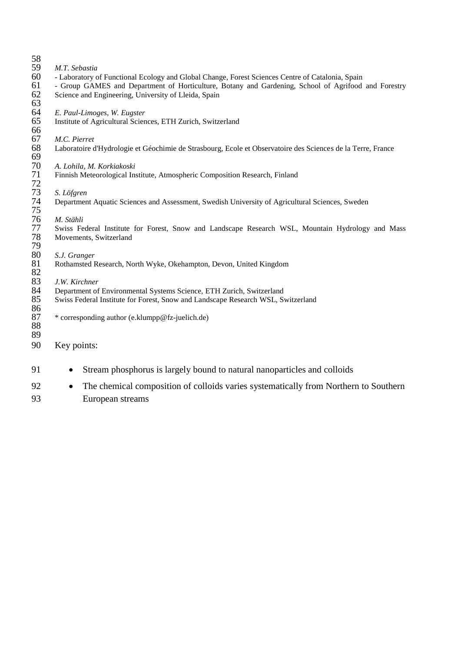| 58       |                                                                                                             |
|----------|-------------------------------------------------------------------------------------------------------------|
| 59       | M.T. Sebastia                                                                                               |
| 60       | - Laboratory of Functional Ecology and Global Change, Forest Sciences Centre of Catalonia, Spain            |
| 61       | - Group GAMES and Department of Horticulture, Botany and Gardening, School of Agrifood and Forestry         |
| 62       | Science and Engineering, University of Lleida, Spain                                                        |
| 63       |                                                                                                             |
| 64       | E. Paul-Limoges, W. Eugster                                                                                 |
| 65       | Institute of Agricultural Sciences, ETH Zurich, Switzerland                                                 |
| 66       |                                                                                                             |
| 67       | M.C. Pierret                                                                                                |
| 68<br>69 | Laboratoire d'Hydrologie et Géochimie de Strasbourg, Ecole et Observatoire des Sciences de la Terre, France |
| 70       | A. Lohila, M. Korkiakoski                                                                                   |
| 71       | Finnish Meteorological Institute, Atmospheric Composition Research, Finland                                 |
| 72       |                                                                                                             |
| 73       | S. Löfgren                                                                                                  |
| 74       | Department Aquatic Sciences and Assessment, Swedish University of Agricultural Sciences, Sweden             |
| 75       |                                                                                                             |
| 76       | M. Stähli                                                                                                   |
| 77       | Swiss Federal Institute for Forest, Snow and Landscape Research WSL, Mountain Hydrology and Mass            |
| 78       | Movements, Switzerland                                                                                      |
| 79       |                                                                                                             |
| 80       | S.J. Granger                                                                                                |
| 81       | Rothamsted Research, North Wyke, Okehampton, Devon, United Kingdom                                          |
| 82       |                                                                                                             |
| 83       | J.W. Kirchner                                                                                               |
| 84       | Department of Environmental Systems Science, ETH Zurich, Switzerland                                        |
| 85       | Swiss Federal Institute for Forest, Snow and Landscape Research WSL, Switzerland                            |
| 86       |                                                                                                             |
| 87       | * corresponding author (e.klumpp@fz-juelich.de)                                                             |
| 88       |                                                                                                             |
| 89       |                                                                                                             |
| 90       | Key points:                                                                                                 |
| 91       | Stream phosphorus is largely bound to natural nanoparticles and colloids                                    |

92 • The chemical composition of colloids varies systematically from Northern to Southern European streams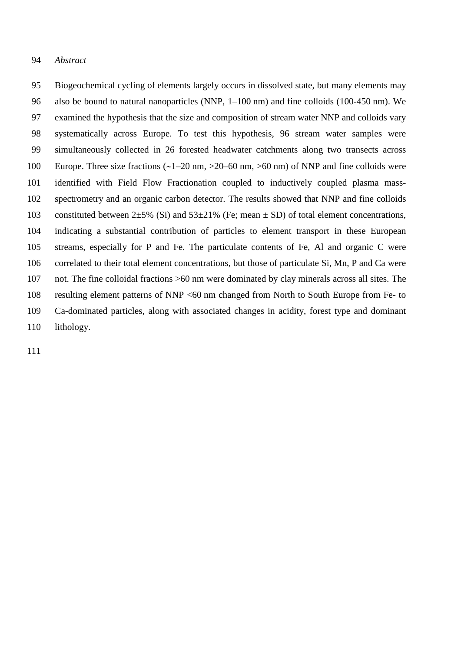### *Abstract*

 Biogeochemical cycling of elements largely occurs in dissolved state, but many elements may also be bound to natural nanoparticles (NNP, 1–100 nm) and fine colloids (100-450 nm). We examined the hypothesis that the size and composition of stream water NNP and colloids vary systematically across Europe. To test this hypothesis, 96 stream water samples were simultaneously collected in 26 forested headwater catchments along two transects across 100 Europe. Three size fractions  $\left(\frac{1-20 \text{ nm}}{20-60 \text{ nm}}\right)$  >60 nm) of NNP and fine colloids were identified with Field Flow Fractionation coupled to inductively coupled plasma mass- spectrometry and an organic carbon detector. The results showed that NNP and fine colloids 103 constituted between  $2\pm5\%$  (Si) and  $53\pm21\%$  (Fe; mean  $\pm$  SD) of total element concentrations, indicating a substantial contribution of particles to element transport in these European streams, especially for P and Fe. The particulate contents of Fe, Al and organic C were correlated to their total element concentrations, but those of particulate Si, Mn, P and Ca were not. The fine colloidal fractions >60 nm were dominated by clay minerals across all sites. The resulting element patterns of NNP <60 nm changed from North to South Europe from Fe- to Ca-dominated particles, along with associated changes in acidity, forest type and dominant 110 lithology.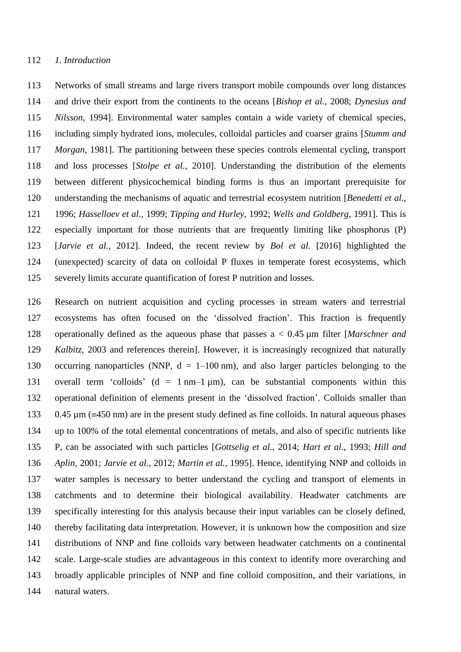Networks of small streams and large rivers transport mobile compounds over long distances and drive their export from the continents to the oceans [*Bishop et al.*, 2008; *Dynesius and Nilsson*, 1994]. Environmental water samples contain a wide variety of chemical species, including simply hydrated ions, molecules, colloidal particles and coarser grains [*Stumm and Morgan*, 1981]. The partitioning between these species controls elemental cycling, transport and loss processes [*Stolpe et al.*, 2010]. Understanding the distribution of the elements between different physicochemical binding forms is thus an important prerequisite for understanding the mechanisms of aquatic and terrestrial ecosystem nutrition [*Benedetti et al.*, 1996; *Hasselloev et al.*, 1999; *Tipping and Hurley*, 1992; *Wells and Goldberg*, 1991]. This is especially important for those nutrients that are frequently limiting like phosphorus (P) [*Jarvie et al.*, 2012]. Indeed, the recent review by *Bol et al.* [2016] highlighted the (unexpected) scarcity of data on colloidal P fluxes in temperate forest ecosystems, which severely limits accurate quantification of forest P nutrition and losses.

 Research on nutrient acquisition and cycling processes in stream waters and terrestrial ecosystems has often focused on the 'dissolved fraction'. This fraction is frequently operationally defined as the aqueous phase that passes a < 0.45 µm filter [*Marschner and Kalbitz*, 2003 and references therein]. However, it is increasingly recognized that naturally 130 occurring nanoparticles (NNP,  $d = 1-100$  nm), and also larger particles belonging to the overall term 'colloids' (d = 1 nm–1 µm), can be substantial components within this operational definition of elements present in the 'dissolved fraction'. Colloids smaller than 133 0.45  $\mu$ m ( $\equiv$ 450 nm) are in the present study defined as fine colloids. In natural aqueous phases up to 100% of the total elemental concentrations of metals, and also of specific nutrients like P, can be associated with such particles [*Gottselig et al.*, 2014; *Hart et al.*, 1993; *Hill and Aplin*, 2001; *Jarvie et al.*, 2012; *Martin et al.*, 1995]. Hence, identifying NNP and colloids in water samples is necessary to better understand the cycling and transport of elements in catchments and to determine their biological availability. Headwater catchments are specifically interesting for this analysis because their input variables can be closely defined, thereby facilitating data interpretation. However, it is unknown how the composition and size distributions of NNP and fine colloids vary between headwater catchments on a continental scale. Large-scale studies are advantageous in this context to identify more overarching and broadly applicable principles of NNP and fine colloid composition, and their variations, in natural waters.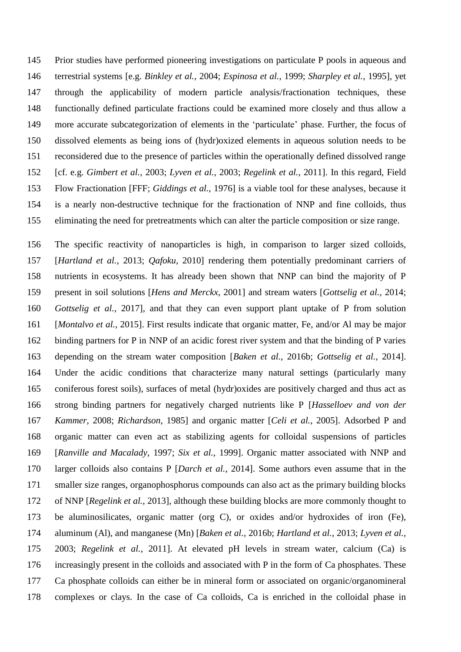Prior studies have performed pioneering investigations on particulate P pools in aqueous and terrestrial systems [e.g. *Binkley et al.*, 2004; *Espinosa et al.*, 1999; *Sharpley et al.*, 1995], yet through the applicability of modern particle analysis/fractionation techniques, these functionally defined particulate fractions could be examined more closely and thus allow a more accurate subcategorization of elements in the 'particulate' phase. Further, the focus of dissolved elements as being ions of (hydr)oxized elements in aqueous solution needs to be reconsidered due to the presence of particles within the operationally defined dissolved range [cf. e.g. *Gimbert et al.*, 2003; *Lyven et al.*, 2003; *Regelink et al.*, 2011]. In this regard, Field Flow Fractionation [FFF; *Giddings et al.*, 1976] is a viable tool for these analyses, because it is a nearly non-destructive technique for the fractionation of NNP and fine colloids, thus eliminating the need for pretreatments which can alter the particle composition or size range.

 The specific reactivity of nanoparticles is high, in comparison to larger sized colloids, [*Hartland et al.*, 2013; *Qafoku*, 2010] rendering them potentially predominant carriers of nutrients in ecosystems. It has already been shown that NNP can bind the majority of P present in soil solutions [*Hens and Merckx*, 2001] and stream waters [*Gottselig et al.*, 2014; *Gottselig et al.*, 2017], and that they can even support plant uptake of P from solution [*Montalvo et al.*, 2015]. First results indicate that organic matter, Fe, and/or Al may be major binding partners for P in NNP of an acidic forest river system and that the binding of P varies depending on the stream water composition [*Baken et al.*, 2016b; *Gottselig et al.*, 2014]. Under the acidic conditions that characterize many natural settings (particularly many coniferous forest soils), surfaces of metal (hydr)oxides are positively charged and thus act as strong binding partners for negatively charged nutrients like P [*Hasselloev and von der Kammer*, 2008; *Richardson*, 1985] and organic matter [*Celi et al.*, 2005]. Adsorbed P and organic matter can even act as stabilizing agents for colloidal suspensions of particles [*Ranville and Macalady*, 1997; *Six et al.*, 1999]. Organic matter associated with NNP and larger colloids also contains P [*Darch et al.*, 2014]. Some authors even assume that in the smaller size ranges, organophosphorus compounds can also act as the primary building blocks of NNP [*Regelink et al.*, 2013], although these building blocks are more commonly thought to be aluminosilicates, organic matter (org C), or oxides and/or hydroxides of iron (Fe), aluminum (Al), and manganese (Mn) [*Baken et al.*, 2016b; *Hartland et al.*, 2013; *Lyven et al.*, 2003; *Regelink et al.*, 2011]. At elevated pH levels in stream water, calcium (Ca) is increasingly present in the colloids and associated with P in the form of Ca phosphates. These Ca phosphate colloids can either be in mineral form or associated on organic/organomineral complexes or clays. In the case of Ca colloids, Ca is enriched in the colloidal phase in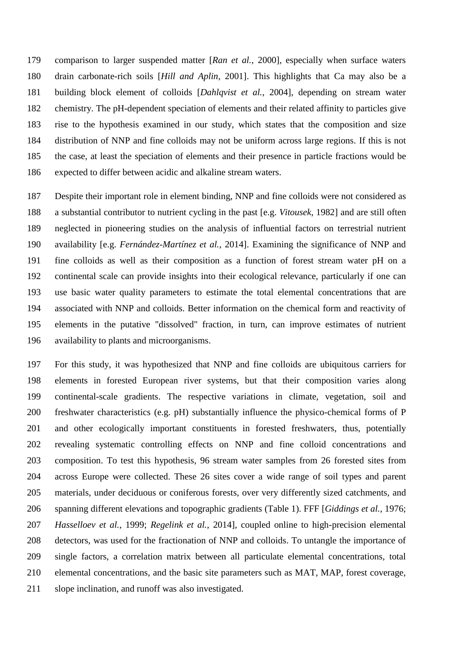comparison to larger suspended matter [*Ran et al.*, 2000], especially when surface waters drain carbonate-rich soils [*Hill and Aplin*, 2001]. This highlights that Ca may also be a building block element of colloids [*Dahlqvist et al.*, 2004], depending on stream water chemistry. The pH-dependent speciation of elements and their related affinity to particles give rise to the hypothesis examined in our study, which states that the composition and size distribution of NNP and fine colloids may not be uniform across large regions. If this is not the case, at least the speciation of elements and their presence in particle fractions would be expected to differ between acidic and alkaline stream waters.

 Despite their important role in element binding, NNP and fine colloids were not considered as a substantial contributor to nutrient cycling in the past [e.g. *Vitousek*, 1982] and are still often neglected in pioneering studies on the analysis of influential factors on terrestrial nutrient availability [e.g. *Fernández-Martínez et al.*, 2014]. Examining the significance of NNP and fine colloids as well as their composition as a function of forest stream water pH on a continental scale can provide insights into their ecological relevance, particularly if one can use basic water quality parameters to estimate the total elemental concentrations that are associated with NNP and colloids. Better information on the chemical form and reactivity of elements in the putative "dissolved" fraction, in turn, can improve estimates of nutrient availability to plants and microorganisms.

 For this study, it was hypothesized that NNP and fine colloids are ubiquitous carriers for elements in forested European river systems, but that their composition varies along continental-scale gradients. The respective variations in climate, vegetation, soil and freshwater characteristics (e.g. pH) substantially influence the physico-chemical forms of P and other ecologically important constituents in forested freshwaters, thus, potentially revealing systematic controlling effects on NNP and fine colloid concentrations and composition. To test this hypothesis, 96 stream water samples from 26 forested sites from across Europe were collected. These 26 sites cover a wide range of soil types and parent materials, under deciduous or coniferous forests, over very differently sized catchments, and spanning different elevations and topographic gradients (Table 1). FFF [*Giddings et al.*, 1976; *Hasselloev et al.*, 1999; *Regelink et al.*, 2014], coupled online to high-precision elemental detectors, was used for the fractionation of NNP and colloids. To untangle the importance of single factors, a correlation matrix between all particulate elemental concentrations, total elemental concentrations, and the basic site parameters such as MAT, MAP, forest coverage, slope inclination, and runoff was also investigated.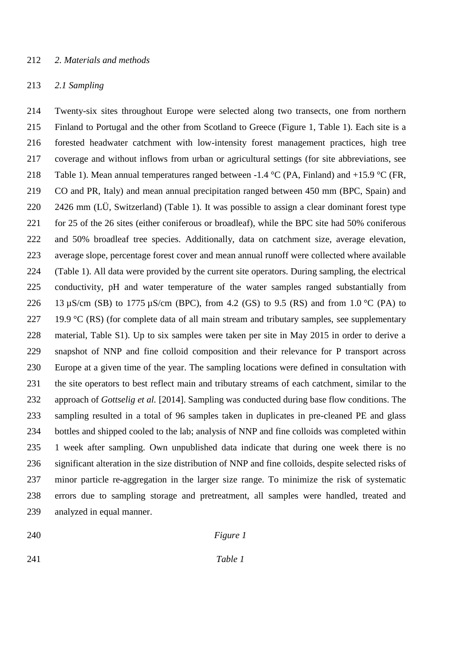## *2. Materials and methods*

### *2.1 Sampling*

 Twenty-six sites throughout Europe were selected along two transects, one from northern Finland to Portugal and the other from Scotland to Greece (Figure 1, Table 1). Each site is a forested headwater catchment with low-intensity forest management practices, high tree coverage and without inflows from urban or agricultural settings (for site abbreviations, see 218 Table 1). Mean annual temperatures ranged between -1.4  $^{\circ}$ C (PA, Finland) and +15.9  $^{\circ}$ C (FR, CO and PR, Italy) and mean annual precipitation ranged between 450 mm (BPC, Spain) and 2426 mm (LÜ, Switzerland) (Table 1). It was possible to assign a clear dominant forest type for 25 of the 26 sites (either coniferous or broadleaf), while the BPC site had 50% coniferous and 50% broadleaf tree species. Additionally, data on catchment size, average elevation, average slope, percentage forest cover and mean annual runoff were collected where available (Table 1). All data were provided by the current site operators. During sampling, the electrical conductivity, pH and water temperature of the water samples ranged substantially from 226 13  $\mu$ S/cm (SB) to 1775  $\mu$ S/cm (BPC), from 4.2 (GS) to 9.5 (RS) and from 1.0 °C (PA) to 227 19.9 °C (RS) (for complete data of all main stream and tributary samples, see supplementary material, Table S1). Up to six samples were taken per site in May 2015 in order to derive a snapshot of NNP and fine colloid composition and their relevance for P transport across Europe at a given time of the year. The sampling locations were defined in consultation with the site operators to best reflect main and tributary streams of each catchment, similar to the approach of *Gottselig et al.* [2014]. Sampling was conducted during base flow conditions. The sampling resulted in a total of 96 samples taken in duplicates in pre-cleaned PE and glass bottles and shipped cooled to the lab; analysis of NNP and fine colloids was completed within 1 week after sampling. Own unpublished data indicate that during one week there is no significant alteration in the size distribution of NNP and fine colloids, despite selected risks of minor particle re-aggregation in the larger size range. To minimize the risk of systematic errors due to sampling storage and pretreatment, all samples were handled, treated and analyzed in equal manner.

# *Figure 1*

*Table 1*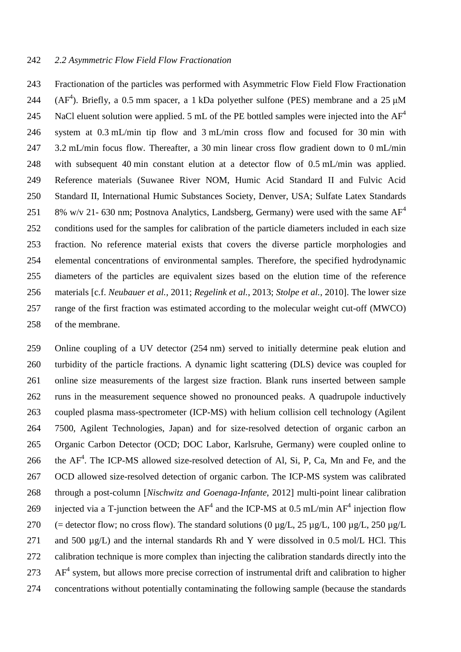## *2.2 Asymmetric Flow Field Flow Fractionation*

 Fractionation of the particles was performed with Asymmetric Flow Field Flow Fractionation 244 ( $AF<sup>4</sup>$ ). Briefly, a 0.5 mm spacer, a 1 kDa polyether sulfone (PES) membrane and a 25  $\mu$ M NaCl eluent solution were applied. 5 mL of the PE bottled samples were injected into the AF<sup>4</sup> system at 0.3 mL/min tip flow and 3 mL/min cross flow and focused for 30 min with 3.2 mL/min focus flow. Thereafter, a 30 min linear cross flow gradient down to 0 mL/min with subsequent 40 min constant elution at a detector flow of 0.5 mL/min was applied. Reference materials (Suwanee River NOM, Humic Acid Standard II and Fulvic Acid Standard II, International Humic Substances Society, Denver, USA; Sulfate Latex Standards 8% w/v 21- 630 nm; Postnova Analytics, Landsberg, Germany) were used with the same  $AF^4$  conditions used for the samples for calibration of the particle diameters included in each size fraction. No reference material exists that covers the diverse particle morphologies and elemental concentrations of environmental samples. Therefore, the specified hydrodynamic diameters of the particles are equivalent sizes based on the elution time of the reference materials [c.f. *Neubauer et al.*, 2011; *Regelink et al.*, 2013; *Stolpe et al.*, 2010]. The lower size range of the first fraction was estimated according to the molecular weight cut-off (MWCO) of the membrane.

 Online coupling of a UV detector (254 nm) served to initially determine peak elution and turbidity of the particle fractions. A dynamic light scattering (DLS) device was coupled for online size measurements of the largest size fraction. Blank runs inserted between sample runs in the measurement sequence showed no pronounced peaks. A quadrupole inductively coupled plasma mass-spectrometer (ICP-MS) with helium collision cell technology (Agilent 7500, Agilent Technologies, Japan) and for size-resolved detection of organic carbon an Organic Carbon Detector (OCD; DOC Labor, Karlsruhe, Germany) were coupled online to 266 the  $AF<sup>4</sup>$ . The ICP-MS allowed size-resolved detection of Al, Si, P, Ca, Mn and Fe, and the OCD allowed size-resolved detection of organic carbon. The ICP-MS system was calibrated through a post-column [*Nischwitz and Goenaga-Infante*, 2012] multi-point linear calibration 269 injected via a T-junction between the  $AF^4$  and the ICP-MS at 0.5 mL/min  $AF^4$  injection flow 270 (= detector flow; no cross flow). The standard solutions (0  $\mu$ g/L, 25  $\mu$ g/L, 100  $\mu$ g/L, 250  $\mu$ g/L 271 and 500  $\mu$ g/L) and the internal standards Rh and Y were dissolved in 0.5 mol/L HCl. This calibration technique is more complex than injecting the calibration standards directly into the AF<sup>4</sup> system, but allows more precise correction of instrumental drift and calibration to higher concentrations without potentially contaminating the following sample (because the standards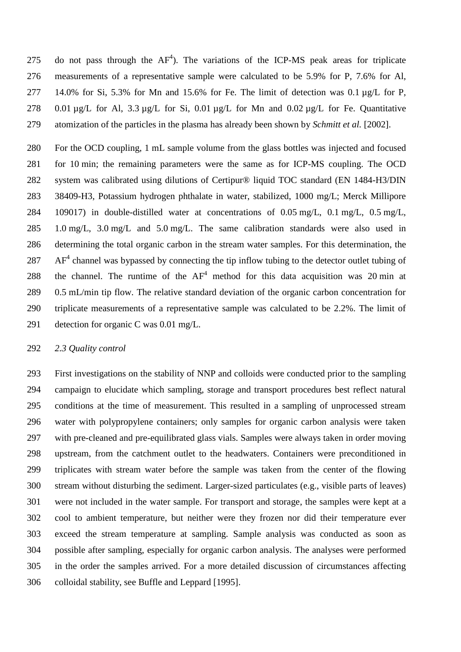275 do not pass through the  $AF<sup>4</sup>$ ). The variations of the ICP-MS peak areas for triplicate measurements of a representative sample were calculated to be 5.9% for P, 7.6% for Al, 14.0% for Si, 5.3% for Mn and 15.6% for Fe. The limit of detection was 0.1 µg/L for P, 278 0.01  $\mu$ g/L for Al, 3.3  $\mu$ g/L for Si, 0.01  $\mu$ g/L for Mn and 0.02  $\mu$ g/L for Fe. Quantitative atomization of the particles in the plasma has already been shown by *Schmitt et al.* [2002].

 For the OCD coupling, 1 mL sample volume from the glass bottles was injected and focused for 10 min; the remaining parameters were the same as for ICP-MS coupling. The OCD system was calibrated using dilutions of Certipur® liquid TOC standard (EN 1484-H3/DIN 38409-H3, Potassium hydrogen phthalate in water, stabilized, 1000 mg/L; Merck Millipore 109017) in double-distilled water at concentrations of 0.05 mg/L, 0.1 mg/L, 0.5 mg/L, 1.0 mg/L, 3.0 mg/L and 5.0 mg/L. The same calibration standards were also used in determining the total organic carbon in the stream water samples. For this determination, the AF<sup>4</sup> channel was bypassed by connecting the tip inflow tubing to the detector outlet tubing of 288 the channel. The runtime of the  $AF<sup>4</sup>$  method for this data acquisition was 20 min at 0.5 mL/min tip flow. The relative standard deviation of the organic carbon concentration for triplicate measurements of a representative sample was calculated to be 2.2%. The limit of detection for organic C was 0.01 mg/L.

#### *2.3 Quality control*

 First investigations on the stability of NNP and colloids were conducted prior to the sampling campaign to elucidate which sampling, storage and transport procedures best reflect natural conditions at the time of measurement. This resulted in a sampling of unprocessed stream water with polypropylene containers; only samples for organic carbon analysis were taken with pre-cleaned and pre-equilibrated glass vials. Samples were always taken in order moving upstream, from the catchment outlet to the headwaters. Containers were preconditioned in triplicates with stream water before the sample was taken from the center of the flowing stream without disturbing the sediment. Larger-sized particulates (e.g., visible parts of leaves) were not included in the water sample. For transport and storage, the samples were kept at a cool to ambient temperature, but neither were they frozen nor did their temperature ever exceed the stream temperature at sampling. Sample analysis was conducted as soon as possible after sampling, especially for organic carbon analysis. The analyses were performed in the order the samples arrived. For a more detailed discussion of circumstances affecting colloidal stability, see Buffle and Leppard [1995].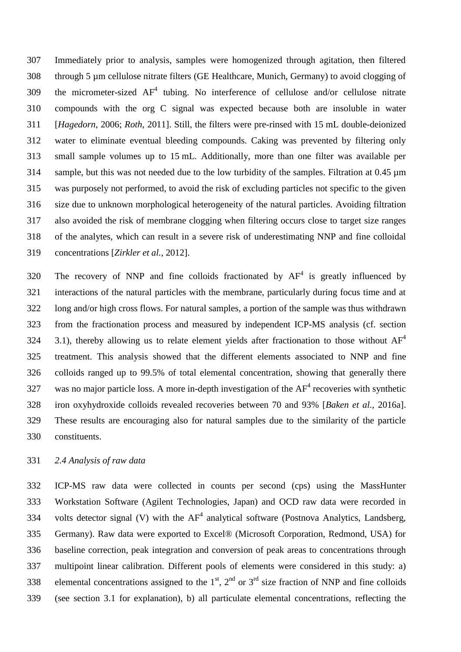Immediately prior to analysis, samples were homogenized through agitation, then filtered through 5 µm cellulose nitrate filters (GE Healthcare, Munich, Germany) to avoid clogging of 309 the micrometer-sized  $AF<sup>4</sup>$  tubing. No interference of cellulose and/or cellulose nitrate compounds with the org C signal was expected because both are insoluble in water [*Hagedorn*, 2006; *Roth*, 2011]. Still, the filters were pre-rinsed with 15 mL double-deionized water to eliminate eventual bleeding compounds. Caking was prevented by filtering only small sample volumes up to 15 mL. Additionally, more than one filter was available per sample, but this was not needed due to the low turbidity of the samples. Filtration at 0.45 µm was purposely not performed, to avoid the risk of excluding particles not specific to the given size due to unknown morphological heterogeneity of the natural particles. Avoiding filtration also avoided the risk of membrane clogging when filtering occurs close to target size ranges of the analytes, which can result in a severe risk of underestimating NNP and fine colloidal concentrations [*Zirkler et al.*, 2012].

320 The recovery of NNP and fine colloids fractionated by  $AF<sup>4</sup>$  is greatly influenced by interactions of the natural particles with the membrane, particularly during focus time and at long and/or high cross flows. For natural samples, a portion of the sample was thus withdrawn from the fractionation process and measured by independent ICP-MS analysis (cf. section 3.1), thereby allowing us to relate element yields after fractionation to those without  $AF<sup>4</sup>$  treatment. This analysis showed that the different elements associated to NNP and fine colloids ranged up to 99.5% of total elemental concentration, showing that generally there 327 was no major particle loss. A more in-depth investigation of the  $AF<sup>4</sup>$  recoveries with synthetic iron oxyhydroxide colloids revealed recoveries between 70 and 93% [*Baken et al.*, 2016a]. These results are encouraging also for natural samples due to the similarity of the particle constituents.

# *2.4 Analysis of raw data*

 ICP-MS raw data were collected in counts per second (cps) using the MassHunter Workstation Software (Agilent Technologies, Japan) and OCD raw data were recorded in 334 volts detector signal (V) with the  $AF<sup>4</sup>$  analytical software (Postnova Analytics, Landsberg, Germany). Raw data were exported to Excel® (Microsoft Corporation, Redmond, USA) for baseline correction, peak integration and conversion of peak areas to concentrations through multipoint linear calibration. Different pools of elements were considered in this study: a) 338 elemental concentrations assigned to the  $1<sup>st</sup>$ ,  $2<sup>nd</sup>$  or  $3<sup>rd</sup>$  size fraction of NNP and fine colloids (see section 3.1 for explanation), b) all particulate elemental concentrations, reflecting the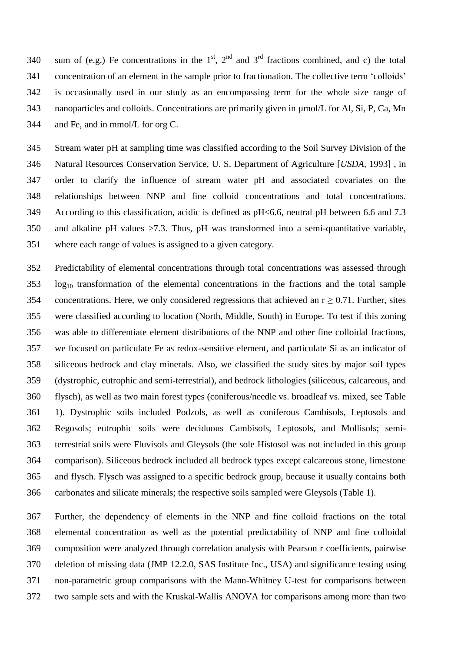340 sum of (e.g.) Fe concentrations in the  $1<sup>st</sup>$ ,  $2<sup>nd</sup>$  and  $3<sup>rd</sup>$  fractions combined, and c) the total concentration of an element in the sample prior to fractionation. The collective term 'colloids' is occasionally used in our study as an encompassing term for the whole size range of nanoparticles and colloids. Concentrations are primarily given in µmol/L for Al, Si, P, Ca, Mn and Fe, and in mmol/L for org C.

 Stream water pH at sampling time was classified according to the Soil Survey Division of the Natural Resources Conservation Service, U. S. Department of Agriculture [*USDA*, 1993] , in order to clarify the influence of stream water pH and associated covariates on the relationships between NNP and fine colloid concentrations and total concentrations. According to this classification, acidic is defined as pH<6.6, neutral pH between 6.6 and 7.3 and alkaline pH values >7.3. Thus, pH was transformed into a semi-quantitative variable, where each range of values is assigned to a given category.

 Predictability of elemental concentrations through total concentrations was assessed through log<sub>10</sub> transformation of the elemental concentrations in the fractions and the total sample 354 concentrations. Here, we only considered regressions that achieved an  $r \geq 0.71$ . Further, sites were classified according to location (North, Middle, South) in Europe. To test if this zoning was able to differentiate element distributions of the NNP and other fine colloidal fractions, we focused on particulate Fe as redox-sensitive element, and particulate Si as an indicator of siliceous bedrock and clay minerals. Also, we classified the study sites by major soil types (dystrophic, eutrophic and semi-terrestrial), and bedrock lithologies (siliceous, calcareous, and flysch), as well as two main forest types (coniferous/needle vs. broadleaf vs. mixed, see Table 1). Dystrophic soils included Podzols, as well as coniferous Cambisols, Leptosols and Regosols; eutrophic soils were deciduous Cambisols, Leptosols, and Mollisols; semi- terrestrial soils were Fluvisols and Gleysols (the sole Histosol was not included in this group comparison). Siliceous bedrock included all bedrock types except calcareous stone, limestone and flysch. Flysch was assigned to a specific bedrock group, because it usually contains both carbonates and silicate minerals; the respective soils sampled were Gleysols (Table 1).

 Further, the dependency of elements in the NNP and fine colloid fractions on the total elemental concentration as well as the potential predictability of NNP and fine colloidal composition were analyzed through correlation analysis with Pearson r coefficients, pairwise deletion of missing data (JMP 12.2.0, SAS Institute Inc., USA) and significance testing using non-parametric group comparisons with the Mann-Whitney U-test for comparisons between two sample sets and with the Kruskal-Wallis ANOVA for comparisons among more than two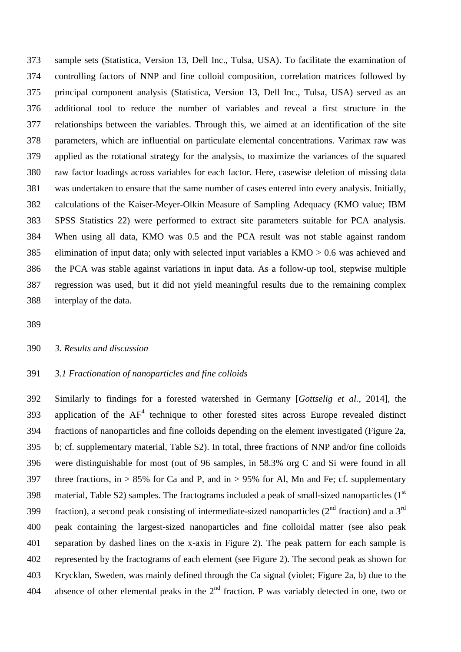sample sets (Statistica, Version 13, Dell Inc., Tulsa, USA). To facilitate the examination of controlling factors of NNP and fine colloid composition, correlation matrices followed by principal component analysis (Statistica, Version 13, Dell Inc., Tulsa, USA) served as an additional tool to reduce the number of variables and reveal a first structure in the relationships between the variables. Through this, we aimed at an identification of the site parameters, which are influential on particulate elemental concentrations. Varimax raw was applied as the rotational strategy for the analysis, to maximize the variances of the squared raw factor loadings across variables for each factor. Here, casewise deletion of missing data was undertaken to ensure that the same number of cases entered into every analysis. Initially, calculations of the Kaiser-Meyer-Olkin Measure of Sampling Adequacy (KMO value; IBM SPSS Statistics 22) were performed to extract site parameters suitable for PCA analysis. When using all data, KMO was 0.5 and the PCA result was not stable against random elimination of input data; only with selected input variables a KMO > 0.6 was achieved and the PCA was stable against variations in input data. As a follow-up tool, stepwise multiple regression was used, but it did not yield meaningful results due to the remaining complex interplay of the data.

## *3. Results and discussion*

# *3.1 Fractionation of nanoparticles and fine colloids*

 Similarly to findings for a forested watershed in Germany [*Gottselig et al.*, 2014], the 393 application of the  $AF<sup>4</sup>$  technique to other forested sites across Europe revealed distinct fractions of nanoparticles and fine colloids depending on the element investigated (Figure 2a, b; cf. supplementary material, Table S2). In total, three fractions of NNP and/or fine colloids were distinguishable for most (out of 96 samples, in 58.3% org C and Si were found in all 397 three fractions, in  $> 85\%$  for Ca and P, and in  $> 95\%$  for Al, Mn and Fe; cf. supplementary 398 material, Table S2) samples. The fractograms included a peak of small-sized nanoparticles  $(1<sup>st</sup>$ 399 fraction), a second peak consisting of intermediate-sized nanoparticles ( $2<sup>nd</sup>$  fraction) and a  $3<sup>rd</sup>$  peak containing the largest-sized nanoparticles and fine colloidal matter (see also peak separation by dashed lines on the x-axis in Figure 2). The peak pattern for each sample is represented by the fractograms of each element (see Figure 2). The second peak as shown for Krycklan, Sweden, was mainly defined through the Ca signal (violet; Figure 2a, b) due to the 404 absence of other elemental peaks in the  $2<sup>nd</sup>$  fraction. P was variably detected in one, two or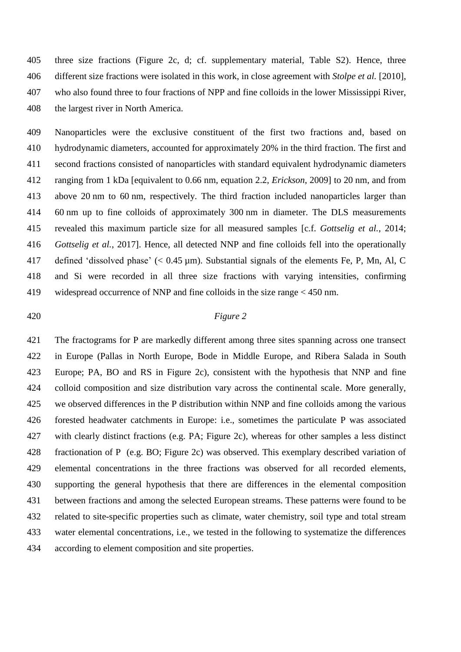three size fractions (Figure 2c, d; cf. supplementary material, Table S2). Hence, three different size fractions were isolated in this work, in close agreement with *Stolpe et al.* [2010], who also found three to four fractions of NPP and fine colloids in the lower Mississippi River, the largest river in North America.

 Nanoparticles were the exclusive constituent of the first two fractions and, based on hydrodynamic diameters, accounted for approximately 20% in the third fraction. The first and second fractions consisted of nanoparticles with standard equivalent hydrodynamic diameters ranging from 1 kDa [equivalent to 0.66 nm, equation 2.2, *Erickson*, 2009] to 20 nm, and from above 20 nm to 60 nm, respectively. The third fraction included nanoparticles larger than 60 nm up to fine colloids of approximately 300 nm in diameter. The DLS measurements revealed this maximum particle size for all measured samples [c.f. *Gottselig et al.*, 2014; *Gottselig et al.*, 2017]. Hence, all detected NNP and fine colloids fell into the operationally defined 'dissolved phase' (< 0.45 µm). Substantial signals of the elements Fe, P, Mn, Al, C and Si were recorded in all three size fractions with varying intensities, confirming widespread occurrence of NNP and fine colloids in the size range < 450 nm.

## *Figure 2*

 The fractograms for P are markedly different among three sites spanning across one transect in Europe (Pallas in North Europe, Bode in Middle Europe, and Ribera Salada in South Europe; PA, BO and RS in Figure 2c), consistent with the hypothesis that NNP and fine colloid composition and size distribution vary across the continental scale. More generally, we observed differences in the P distribution within NNP and fine colloids among the various forested headwater catchments in Europe: i.e., sometimes the particulate P was associated with clearly distinct fractions (e.g. PA; Figure 2c), whereas for other samples a less distinct fractionation of P (e.g. BO; Figure 2c) was observed. This exemplary described variation of elemental concentrations in the three fractions was observed for all recorded elements, supporting the general hypothesis that there are differences in the elemental composition between fractions and among the selected European streams. These patterns were found to be related to site-specific properties such as climate, water chemistry, soil type and total stream water elemental concentrations, i.e., we tested in the following to systematize the differences according to element composition and site properties.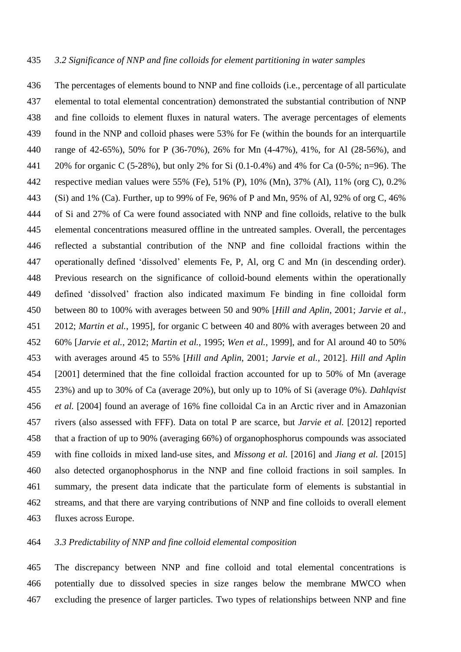The percentages of elements bound to NNP and fine colloids (i.e., percentage of all particulate elemental to total elemental concentration) demonstrated the substantial contribution of NNP and fine colloids to element fluxes in natural waters. The average percentages of elements found in the NNP and colloid phases were 53% for Fe (within the bounds for an interquartile range of 42-65%), 50% for P (36-70%), 26% for Mn (4-47%), 41%, for Al (28-56%), and 20% for organic C (5-28%), but only 2% for Si (0.1-0.4%) and 4% for Ca (0-5%; n=96). The respective median values were 55% (Fe), 51% (P), 10% (Mn), 37% (Al), 11% (org C), 0.2% (Si) and 1% (Ca). Further, up to 99% of Fe, 96% of P and Mn, 95% of Al, 92% of org C, 46% of Si and 27% of Ca were found associated with NNP and fine colloids, relative to the bulk elemental concentrations measured offline in the untreated samples. Overall, the percentages reflected a substantial contribution of the NNP and fine colloidal fractions within the operationally defined 'dissolved' elements Fe, P, Al, org C and Mn (in descending order). Previous research on the significance of colloid-bound elements within the operationally defined 'dissolved' fraction also indicated maximum Fe binding in fine colloidal form between 80 to 100% with averages between 50 and 90% [*Hill and Aplin*, 2001; *Jarvie et al.*, 2012; *Martin et al.*, 1995], for organic C between 40 and 80% with averages between 20 and 60% [*Jarvie et al.*, 2012; *Martin et al.*, 1995; *Wen et al.*, 1999], and for Al around 40 to 50% with averages around 45 to 55% [*Hill and Aplin*, 2001; *Jarvie et al.*, 2012]. *Hill and Aplin* [2001] determined that the fine colloidal fraction accounted for up to 50% of Mn (average 23%) and up to 30% of Ca (average 20%), but only up to 10% of Si (average 0%). *Dahlqvist et al.* [2004] found an average of 16% fine colloidal Ca in an Arctic river and in Amazonian rivers (also assessed with FFF). Data on total P are scarce, but *Jarvie et al.* [2012] reported that a fraction of up to 90% (averaging 66%) of organophosphorus compounds was associated with fine colloids in mixed land-use sites, and *Missong et al.* [2016] and *Jiang et al.* [2015] also detected organophosphorus in the NNP and fine colloid fractions in soil samples. In summary, the present data indicate that the particulate form of elements is substantial in streams, and that there are varying contributions of NNP and fine colloids to overall element fluxes across Europe.

# *3.3 Predictability of NNP and fine colloid elemental composition*

 The discrepancy between NNP and fine colloid and total elemental concentrations is potentially due to dissolved species in size ranges below the membrane MWCO when excluding the presence of larger particles. Two types of relationships between NNP and fine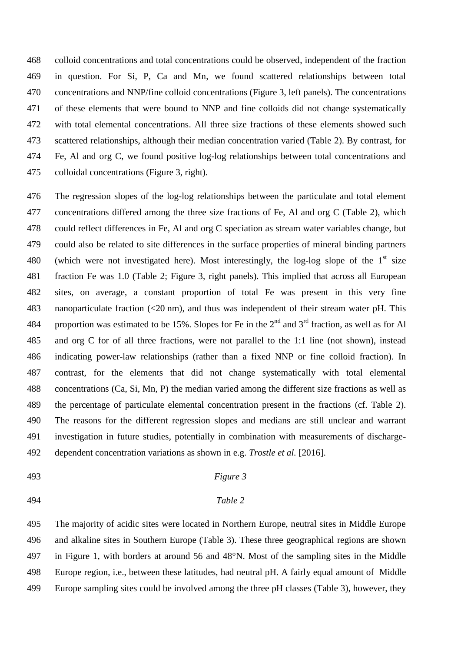colloid concentrations and total concentrations could be observed, independent of the fraction in question. For Si, P, Ca and Mn, we found scattered relationships between total concentrations and NNP/fine colloid concentrations (Figure 3, left panels). The concentrations of these elements that were bound to NNP and fine colloids did not change systematically with total elemental concentrations. All three size fractions of these elements showed such scattered relationships, although their median concentration varied (Table 2). By contrast, for Fe, Al and org C, we found positive log-log relationships between total concentrations and colloidal concentrations (Figure 3, right).

 The regression slopes of the log-log relationships between the particulate and total element concentrations differed among the three size fractions of Fe, Al and org C (Table 2), which could reflect differences in Fe, Al and org C speciation as stream water variables change, but could also be related to site differences in the surface properties of mineral binding partners 480 (which were not investigated here). Most interestingly, the log-log slope of the  $1<sup>st</sup>$  size fraction Fe was 1.0 (Table 2; Figure 3, right panels). This implied that across all European sites, on average, a constant proportion of total Fe was present in this very fine nanoparticulate fraction (<20 nm), and thus was independent of their stream water pH. This 484 proportion was estimated to be 15%. Slopes for Fe in the  $2<sup>nd</sup>$  and  $3<sup>rd</sup>$  fraction, as well as for Al and org C for of all three fractions, were not parallel to the 1:1 line (not shown), instead indicating power-law relationships (rather than a fixed NNP or fine colloid fraction). In contrast, for the elements that did not change systematically with total elemental concentrations (Ca, Si, Mn, P) the median varied among the different size fractions as well as the percentage of particulate elemental concentration present in the fractions (cf. Table 2). The reasons for the different regression slopes and medians are still unclear and warrant investigation in future studies, potentially in combination with measurements of discharge-dependent concentration variations as shown in e.g. *Trostle et al.* [2016].

## *Figure 3*

# *Table 2*

 The majority of acidic sites were located in Northern Europe, neutral sites in Middle Europe and alkaline sites in Southern Europe (Table 3). These three geographical regions are shown in Figure 1, with borders at around 56 and 48°N. Most of the sampling sites in the Middle Europe region, i.e., between these latitudes, had neutral pH. A fairly equal amount of Middle Europe sampling sites could be involved among the three pH classes (Table 3), however, they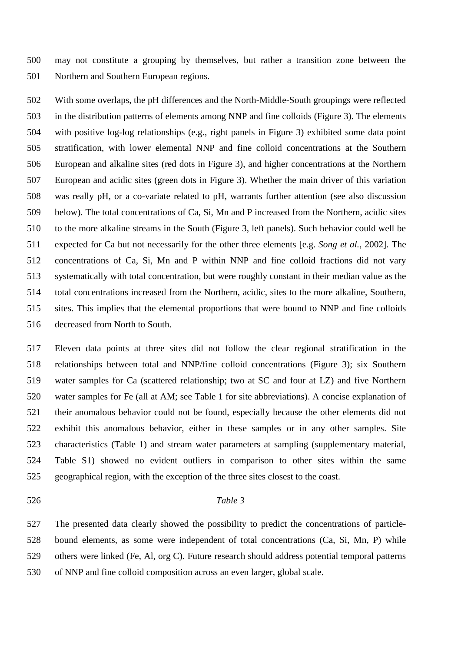may not constitute a grouping by themselves, but rather a transition zone between the Northern and Southern European regions.

 With some overlaps, the pH differences and the North-Middle-South groupings were reflected in the distribution patterns of elements among NNP and fine colloids (Figure 3). The elements with positive log-log relationships (e.g., right panels in Figure 3) exhibited some data point stratification, with lower elemental NNP and fine colloid concentrations at the Southern European and alkaline sites (red dots in Figure 3), and higher concentrations at the Northern European and acidic sites (green dots in Figure 3). Whether the main driver of this variation was really pH, or a co-variate related to pH, warrants further attention (see also discussion below). The total concentrations of Ca, Si, Mn and P increased from the Northern, acidic sites to the more alkaline streams in the South (Figure 3, left panels). Such behavior could well be expected for Ca but not necessarily for the other three elements [e.g. *Song et al.*, 2002]. The concentrations of Ca, Si, Mn and P within NNP and fine colloid fractions did not vary systematically with total concentration, but were roughly constant in their median value as the total concentrations increased from the Northern, acidic, sites to the more alkaline, Southern, sites. This implies that the elemental proportions that were bound to NNP and fine colloids decreased from North to South.

 Eleven data points at three sites did not follow the clear regional stratification in the relationships between total and NNP/fine colloid concentrations (Figure 3); six Southern water samples for Ca (scattered relationship; two at SC and four at LZ) and five Northern water samples for Fe (all at AM; see Table 1 for site abbreviations). A concise explanation of their anomalous behavior could not be found, especially because the other elements did not exhibit this anomalous behavior, either in these samples or in any other samples. Site characteristics (Table 1) and stream water parameters at sampling (supplementary material, Table S1) showed no evident outliers in comparison to other sites within the same geographical region, with the exception of the three sites closest to the coast.

#### *Table 3*

 The presented data clearly showed the possibility to predict the concentrations of particle- bound elements, as some were independent of total concentrations (Ca, Si, Mn, P) while others were linked (Fe, Al, org C). Future research should address potential temporal patterns of NNP and fine colloid composition across an even larger, global scale.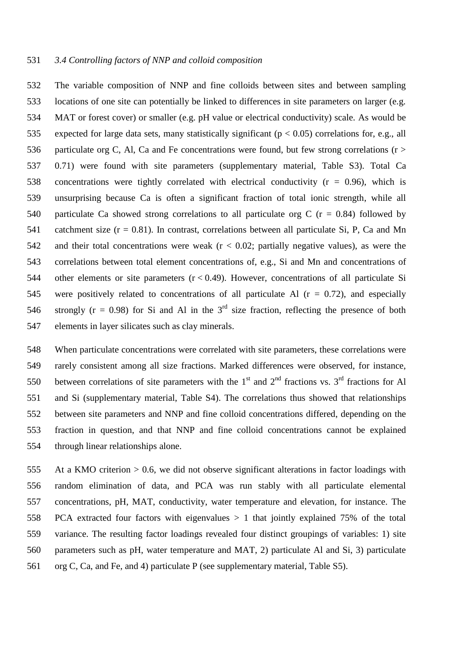## *3.4 Controlling factors of NNP and colloid composition*

 The variable composition of NNP and fine colloids between sites and between sampling locations of one site can potentially be linked to differences in site parameters on larger (e.g. MAT or forest cover) or smaller (e.g. pH value or electrical conductivity) scale. As would be 535 expected for large data sets, many statistically significant ( $p < 0.05$ ) correlations for, e.g., all 536 particulate org C, Al, Ca and Fe concentrations were found, but few strong correlations ( $r >$  0.71) were found with site parameters (supplementary material, Table S3). Total Ca 538 concentrations were tightly correlated with electrical conductivity  $(r = 0.96)$ , which is unsurprising because Ca is often a significant fraction of total ionic strength, while all 540 particulate Ca showed strong correlations to all particulate org C ( $r = 0.84$ ) followed by catchment size (r = 0.81). In contrast, correlations between all particulate Si, P, Ca and Mn 542 and their total concentrations were weak  $(r < 0.02$ ; partially negative values), as were the correlations between total element concentrations of, e.g., Si and Mn and concentrations of other elements or site parameters (r < 0.49). However, concentrations of all particulate Si 545 were positively related to concentrations of all particulate Al  $(r = 0.72)$ , and especially 546 strongly ( $r = 0.98$ ) for Si and Al in the 3<sup>rd</sup> size fraction, reflecting the presence of both elements in layer silicates such as clay minerals.

 When particulate concentrations were correlated with site parameters, these correlations were rarely consistent among all size fractions. Marked differences were observed, for instance, 550 between correlations of site parameters with the  $1<sup>st</sup>$  and  $2<sup>nd</sup>$  fractions vs.  $3<sup>rd</sup>$  fractions for Al and Si (supplementary material, Table S4). The correlations thus showed that relationships between site parameters and NNP and fine colloid concentrations differed, depending on the fraction in question, and that NNP and fine colloid concentrations cannot be explained through linear relationships alone.

 At a KMO criterion > 0.6, we did not observe significant alterations in factor loadings with random elimination of data, and PCA was run stably with all particulate elemental concentrations, pH, MAT, conductivity, water temperature and elevation, for instance. The PCA extracted four factors with eigenvalues > 1 that jointly explained 75% of the total variance. The resulting factor loadings revealed four distinct groupings of variables: 1) site parameters such as pH, water temperature and MAT, 2) particulate Al and Si, 3) particulate org C, Ca, and Fe, and 4) particulate P (see supplementary material, Table S5).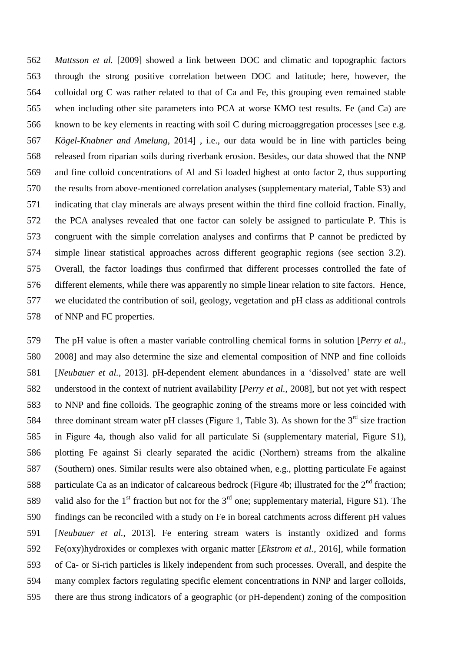*Mattsson et al.* [2009] showed a link between DOC and climatic and topographic factors through the strong positive correlation between DOC and latitude; here, however, the colloidal org C was rather related to that of Ca and Fe, this grouping even remained stable when including other site parameters into PCA at worse KMO test results. Fe (and Ca) are known to be key elements in reacting with soil C during microaggregation processes [see e.g. *Kögel-Knabner and Amelung*, 2014] , i.e., our data would be in line with particles being released from riparian soils during riverbank erosion. Besides, our data showed that the NNP and fine colloid concentrations of Al and Si loaded highest at onto factor 2, thus supporting the results from above-mentioned correlation analyses (supplementary material, Table S3) and indicating that clay minerals are always present within the third fine colloid fraction. Finally, the PCA analyses revealed that one factor can solely be assigned to particulate P. This is congruent with the simple correlation analyses and confirms that P cannot be predicted by simple linear statistical approaches across different geographic regions (see section 3.2). Overall, the factor loadings thus confirmed that different processes controlled the fate of different elements, while there was apparently no simple linear relation to site factors. Hence, we elucidated the contribution of soil, geology, vegetation and pH class as additional controls of NNP and FC properties.

 The pH value is often a master variable controlling chemical forms in solution [*Perry et al.*, 2008] and may also determine the size and elemental composition of NNP and fine colloids [*Neubauer et al.*, 2013]. pH-dependent element abundances in a 'dissolved' state are well understood in the context of nutrient availability [*Perry et al.*, 2008], but not yet with respect to NNP and fine colloids. The geographic zoning of the streams more or less coincided with 584 three dominant stream water pH classes (Figure 1, Table 3). As shown for the  $3<sup>rd</sup>$  size fraction in Figure 4a, though also valid for all particulate Si (supplementary material, Figure S1), plotting Fe against Si clearly separated the acidic (Northern) streams from the alkaline (Southern) ones. Similar results were also obtained when, e.g., plotting particulate Fe against 588 particulate Ca as an indicator of calcareous bedrock (Figure 4b; illustrated for the  $2<sup>nd</sup>$  fraction; 589 valid also for the 1<sup>st</sup> fraction but not for the 3<sup>rd</sup> one; supplementary material, Figure S1). The findings can be reconciled with a study on Fe in boreal catchments across different pH values [*Neubauer et al.*, 2013]. Fe entering stream waters is instantly oxidized and forms Fe(oxy)hydroxides or complexes with organic matter [*Ekstrom et al.*, 2016], while formation of Ca- or Si-rich particles is likely independent from such processes. Overall, and despite the many complex factors regulating specific element concentrations in NNP and larger colloids, there are thus strong indicators of a geographic (or pH-dependent) zoning of the composition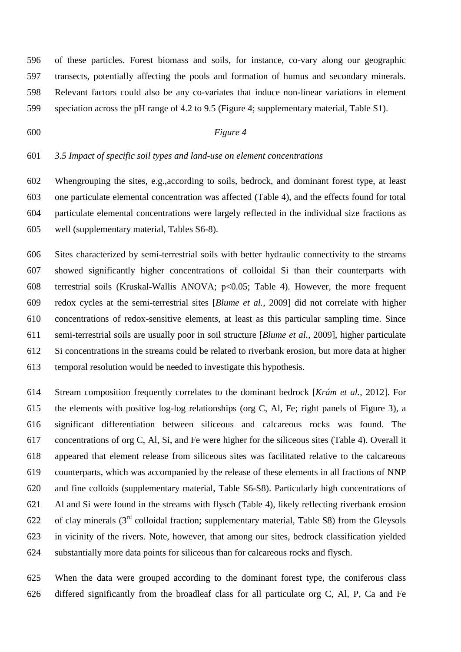of these particles. Forest biomass and soils, for instance, co-vary along our geographic transects, potentially affecting the pools and formation of humus and secondary minerals. Relevant factors could also be any co-variates that induce non-linear variations in element speciation across the pH range of 4.2 to 9.5 (Figure 4; supplementary material, Table S1).

# *Figure 4*

### *3.5 Impact of specific soil types and land-use on element concentrations*

 Whengrouping the sites, e.g.,according to soils, bedrock, and dominant forest type, at least one particulate elemental concentration was affected (Table 4), and the effects found for total particulate elemental concentrations were largely reflected in the individual size fractions as well (supplementary material, Tables S6-8).

 Sites characterized by semi-terrestrial soils with better hydraulic connectivity to the streams showed significantly higher concentrations of colloidal Si than their counterparts with terrestrial soils (Kruskal-Wallis ANOVA; p<0.05; Table 4). However, the more frequent redox cycles at the semi-terrestrial sites [*Blume et al.*, 2009] did not correlate with higher concentrations of redox-sensitive elements, at least as this particular sampling time. Since semi-terrestrial soils are usually poor in soil structure [*Blume et al.*, 2009], higher particulate Si concentrations in the streams could be related to riverbank erosion, but more data at higher temporal resolution would be needed to investigate this hypothesis.

 Stream composition frequently correlates to the dominant bedrock [*Krám et al.*, 2012]. For the elements with positive log-log relationships (org C, Al, Fe; right panels of Figure 3), a significant differentiation between siliceous and calcareous rocks was found. The concentrations of org C, Al, Si, and Fe were higher for the siliceous sites (Table 4). Overall it appeared that element release from siliceous sites was facilitated relative to the calcareous counterparts, which was accompanied by the release of these elements in all fractions of NNP and fine colloids (supplementary material, Table S6-S8). Particularly high concentrations of Al and Si were found in the streams with flysch (Table 4), likely reflecting riverbank erosion 622 of clay minerals  $(3<sup>rd</sup>$  colloidal fraction; supplementary material, Table S8) from the Gleysols in vicinity of the rivers. Note, however, that among our sites, bedrock classification yielded substantially more data points for siliceous than for calcareous rocks and flysch.

 When the data were grouped according to the dominant forest type, the coniferous class differed significantly from the broadleaf class for all particulate org C, Al, P, Ca and Fe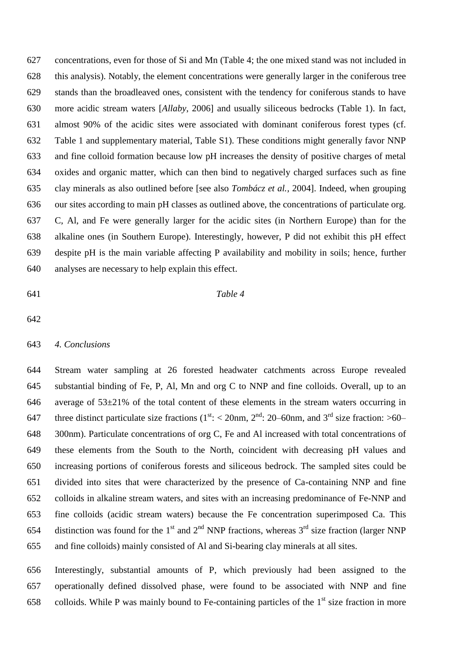concentrations, even for those of Si and Mn (Table 4; the one mixed stand was not included in this analysis). Notably, the element concentrations were generally larger in the coniferous tree stands than the broadleaved ones, consistent with the tendency for coniferous stands to have more acidic stream waters [*Allaby*, 2006] and usually siliceous bedrocks (Table 1). In fact, almost 90% of the acidic sites were associated with dominant coniferous forest types (cf. Table 1 and supplementary material, Table S1). These conditions might generally favor NNP and fine colloid formation because low pH increases the density of positive charges of metal oxides and organic matter, which can then bind to negatively charged surfaces such as fine clay minerals as also outlined before [see also *Tombácz et al.,* 2004]. Indeed, when grouping our sites according to main pH classes as outlined above, the concentrations of particulate org. C, Al, and Fe were generally larger for the acidic sites (in Northern Europe) than for the alkaline ones (in Southern Europe). Interestingly, however, P did not exhibit this pH effect despite pH is the main variable affecting P availability and mobility in soils; hence, further analyses are necessary to help explain this effect.

### *Table 4*

## *4. Conclusions*

 Stream water sampling at 26 forested headwater catchments across Europe revealed substantial binding of Fe, P, Al, Mn and org C to NNP and fine colloids. Overall, up to an 646 average of  $53\pm21\%$  of the total content of these elements in the stream waters occurring in 647 three distinct particulate size fractions ( $1<sup>st</sup>$ : < 20nm,  $2<sup>nd</sup>$ : 20–60nm, and  $3<sup>rd</sup>$  size fraction: >60– 300nm). Particulate concentrations of org C, Fe and Al increased with total concentrations of these elements from the South to the North, coincident with decreasing pH values and increasing portions of coniferous forests and siliceous bedrock. The sampled sites could be divided into sites that were characterized by the presence of Ca-containing NNP and fine colloids in alkaline stream waters, and sites with an increasing predominance of Fe-NNP and fine colloids (acidic stream waters) because the Fe concentration superimposed Ca. This 654 distinction was found for the 1<sup>st</sup> and 2<sup>nd</sup> NNP fractions, whereas  $3<sup>rd</sup>$  size fraction (larger NNP and fine colloids) mainly consisted of Al and Si-bearing clay minerals at all sites.

 Interestingly, substantial amounts of P, which previously had been assigned to the operationally defined dissolved phase, were found to be associated with NNP and fine 658 colloids. While P was mainly bound to Fe-containing particles of the  $1<sup>st</sup>$  size fraction in more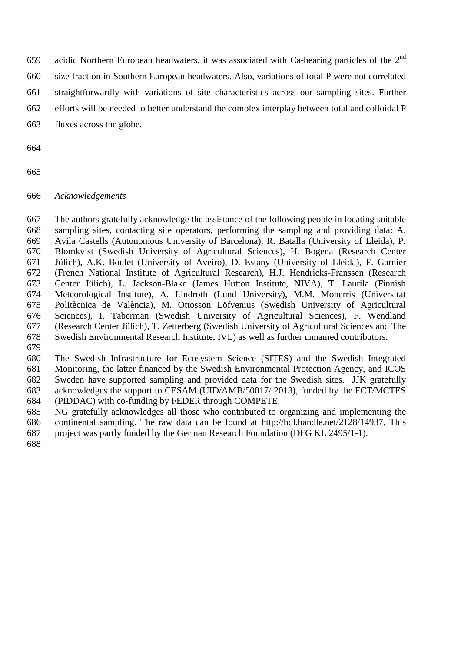- 659 acidic Northern European headwaters, it was associated with Ca-bearing particles of the  $2<sup>nd</sup>$
- size fraction in Southern European headwaters. Also, variations of total P were not correlated
- straightforwardly with variations of site characteristics across our sampling sites. Further
- efforts will be needed to better understand the complex interplay between total and colloidal P
- fluxes across the globe.
- 
- 

# *Acknowledgements*

 The authors gratefully acknowledge the assistance of the following people in locating suitable sampling sites, contacting site operators, performing the sampling and providing data: A. Avila Castells (Autonomous University of Barcelona), R. Batalla (University of Lleida), P. Blomkvist (Swedish University of Agricultural Sciences), H. Bogena (Research Center Jülich), A.K. Boulet (University of Aveiro), D. Estany (University of Lleida), F. Garnier (French National Institute of Agricultural Research), H.J. Hendricks-Franssen (Research Center Jülich), L. Jackson-Blake (James Hutton Institute, NIVA), T. Laurila (Finnish Meteorological Institute), A. Lindroth (Lund University), M.M. Monerris (Universitat Politècnica de València), M. Ottosson Löfvenius (Swedish University of Agricultural Sciences), I. Taberman (Swedish University of Agricultural Sciences), F. Wendland (Research Center Jülich), T. Zetterberg (Swedish University of Agricultural Sciences and The Swedish Environmental Research Institute, IVL) as well as further unnamed contributors.

 The Swedish Infrastructure for Ecosystem Science (SITES) and the Swedish Integrated Monitoring, the latter financed by the Swedish Environmental Protection Agency, and ICOS Sweden have supported sampling and provided data for the Swedish sites. JJK gratefully acknowledges the support to CESAM (UID/AMB/50017/ 2013), funded by the FCT/MCTES (PIDDAC) with co-funding by FEDER through COMPETE.

- NG gratefully acknowledges all those who contributed to organizing and implementing the continental sampling. The raw data can be found at http://hdl.handle.net/2128/14937. This project was partly funded by the German Research Foundation (DFG KL 2495/1-1).
-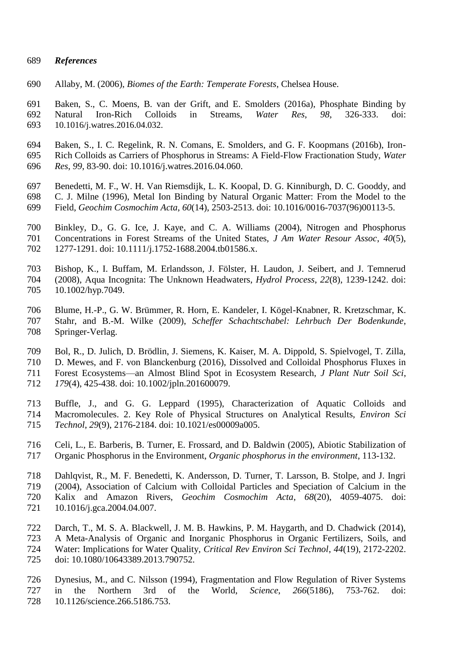### *References*

Allaby, M. (2006), *Biomes of the Earth: Temperate Forests*, Chelsea House.

 Baken, S., C. Moens, B. van der Grift, and E. Smolders (2016a), Phosphate Binding by Natural Iron-Rich Colloids in Streams, *Water Res*, *98*, 326-333. doi: 10.1016/j.watres.2016.04.032.

- Baken, S., I. C. Regelink, R. N. Comans, E. Smolders, and G. F. Koopmans (2016b), Iron- Rich Colloids as Carriers of Phosphorus in Streams: A Field-Flow Fractionation Study, *Water Res*, *99*, 83-90. doi: 10.1016/j.watres.2016.04.060.
- Benedetti, M. F., W. H. Van Riemsdijk, L. K. Koopal, D. G. Kinniburgh, D. C. Gooddy, and C. J. Milne (1996), Metal Ion Binding by Natural Organic Matter: From the Model to the Field, *Geochim Cosmochim Acta*, *60*(14), 2503-2513. doi: 10.1016/0016-7037(96)00113-5.
- Binkley, D., G. G. Ice, J. Kaye, and C. A. Williams (2004), Nitrogen and Phosphorus Concentrations in Forest Streams of the United States, *J Am Water Resour Assoc*, *40*(5), 1277-1291. doi: 10.1111/j.1752-1688.2004.tb01586.x.
- Bishop, K., I. Buffam, M. Erlandsson, J. Fölster, H. Laudon, J. Seibert, and J. Temnerud (2008), Aqua Incognita: The Unknown Headwaters, *Hydrol Process*, *22*(8), 1239-1242. doi: 10.1002/hyp.7049.
- Blume, H.-P., G. W. Brümmer, R. Horn, E. Kandeler, I. Kögel-Knabner, R. Kretzschmar, K. Stahr, and B.-M. Wilke (2009), *Scheffer Schachtschabel: Lehrbuch Der Bodenkunde*, Springer-Verlag.
- Bol, R., D. Julich, D. Brödlin, J. Siemens, K. Kaiser, M. A. Dippold, S. Spielvogel, T. Zilla, D. Mewes, and F. von Blanckenburg (2016), Dissolved and Colloidal Phosphorus Fluxes in Forest Ecosystems—an Almost Blind Spot in Ecosystem Research, *J Plant Nutr Soil Sci*, *179*(4), 425-438. doi: 10.1002/jpln.201600079.
- Buffle, J., and G. G. Leppard (1995), Characterization of Aquatic Colloids and Macromolecules. 2. Key Role of Physical Structures on Analytical Results, *Environ Sci Technol*, *29*(9), 2176-2184. doi: 10.1021/es00009a005.
- Celi, L., E. Barberis, B. Turner, E. Frossard, and D. Baldwin (2005), Abiotic Stabilization of Organic Phosphorus in the Environment, *Organic phosphorus in the environment*, 113-132.
- Dahlqvist, R., M. F. Benedetti, K. Andersson, D. Turner, T. Larsson, B. Stolpe, and J. Ingri (2004), Association of Calcium with Colloidal Particles and Speciation of Calcium in the Kalix and Amazon Rivers, *Geochim Cosmochim Acta*, *68*(20), 4059-4075. doi: 10.1016/j.gca.2004.04.007.
- Darch, T., M. S. A. Blackwell, J. M. B. Hawkins, P. M. Haygarth, and D. Chadwick (2014), A Meta-Analysis of Organic and Inorganic Phosphorus in Organic Fertilizers, Soils, and Water: Implications for Water Quality, *Critical Rev Environ Sci Technol*, *44*(19), 2172-2202. doi: 10.1080/10643389.2013.790752.
- Dynesius, M., and C. Nilsson (1994), Fragmentation and Flow Regulation of River Systems in the Northern 3rd of the World, *Science*, *266*(5186), 753-762. doi: 10.1126/science.266.5186.753.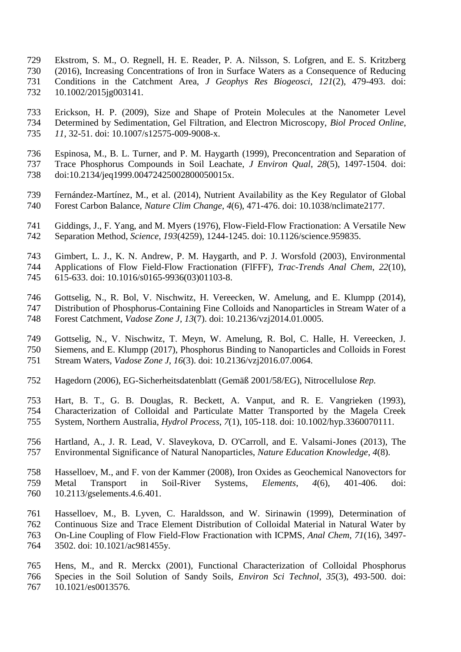- Ekstrom, S. M., O. Regnell, H. E. Reader, P. A. Nilsson, S. Lofgren, and E. S. Kritzberg (2016), Increasing Concentrations of Iron in Surface Waters as a Consequence of Reducing Conditions in the Catchment Area, *J Geophys Res Biogeosci*, *121*(2), 479-493. doi: 10.1002/2015jg003141.
- Erickson, H. P. (2009), Size and Shape of Protein Molecules at the Nanometer Level Determined by Sedimentation, Gel Filtration, and Electron Microscopy, *Biol Proced Online*, *11*, 32-51. doi: 10.1007/s12575-009-9008-x.
- Espinosa, M., B. L. Turner, and P. M. Haygarth (1999), Preconcentration and Separation of Trace Phosphorus Compounds in Soil Leachate, *J Environ Qual*, *28*(5), 1497-1504. doi: doi:10.2134/jeq1999.00472425002800050015x.
- Fernández-Martínez, M., et al. (2014), Nutrient Availability as the Key Regulator of Global Forest Carbon Balance, *Nature Clim Change*, *4*(6), 471-476. doi: 10.1038/nclimate2177.
- Giddings, J., F. Yang, and M. Myers (1976), Flow-Field-Flow Fractionation: A Versatile New Separation Method, *Science*, *193*(4259), 1244-1245. doi: 10.1126/science.959835.
- Gimbert, L. J., K. N. Andrew, P. M. Haygarth, and P. J. Worsfold (2003), Environmental Applications of Flow Field-Flow Fractionation (FlFFF), *Trac-Trends Anal Chem*, *22*(10),
- 615-633. doi: 10.1016/s0165-9936(03)01103-8.
- Gottselig, N., R. Bol, V. Nischwitz, H. Vereecken, W. Amelung, and E. Klumpp (2014),
- Distribution of Phosphorus-Containing Fine Colloids and Nanoparticles in Stream Water of a
- Forest Catchment, *Vadose Zone J*, *13*(7). doi: 10.2136/vzj2014.01.0005.
- Gottselig, N., V. Nischwitz, T. Meyn, W. Amelung, R. Bol, C. Halle, H. Vereecken, J.
- Siemens, and E. Klumpp (2017), Phosphorus Binding to Nanoparticles and Colloids in Forest
- Stream Waters, *Vadose Zone J*, *16*(3). doi: 10.2136/vzj2016.07.0064.
- Hagedorn (2006), EG-Sicherheitsdatenblatt (Gemäß 2001/58/EG), Nitrocellulose *Rep.*
- Hart, B. T., G. B. Douglas, R. Beckett, A. Vanput, and R. E. Vangrieken (1993), Characterization of Colloidal and Particulate Matter Transported by the Magela Creek System, Northern Australia, *Hydrol Process*, *7*(1), 105-118. doi: 10.1002/hyp.3360070111.
- Hartland, A., J. R. Lead, V. Slaveykova, D. O'Carroll, and E. Valsami-Jones (2013), The Environmental Significance of Natural Nanoparticles, *Nature Education Knowledge*, *4*(8).
- Hasselloev, M., and F. von der Kammer (2008), Iron Oxides as Geochemical Nanovectors for Metal Transport in Soil-River Systems, *Elements*, *4*(6), 401-406. doi: 10.2113/gselements.4.6.401.
- Hasselloev, M., B. Lyven, C. Haraldsson, and W. Sirinawin (1999), Determination of Continuous Size and Trace Element Distribution of Colloidal Material in Natural Water by On-Line Coupling of Flow Field-Flow Fractionation with ICPMS, *Anal Chem*, *71*(16), 3497- 3502. doi: 10.1021/ac981455y.
- Hens, M., and R. Merckx (2001), Functional Characterization of Colloidal Phosphorus Species in the Soil Solution of Sandy Soils, *Environ Sci Technol*, *35*(3), 493-500. doi: 10.1021/es0013576.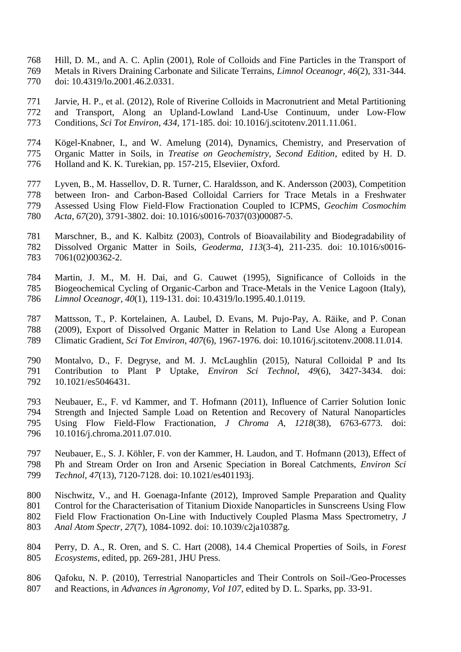- Hill, D. M., and A. C. Aplin (2001), Role of Colloids and Fine Particles in the Transport of Metals in Rivers Draining Carbonate and Silicate Terrains, *Limnol Oceanogr*, *46*(2), 331-344. doi: 10.4319/lo.2001.46.2.0331.
- Jarvie, H. P., et al. (2012), Role of Riverine Colloids in Macronutrient and Metal Partitioning and Transport, Along an Upland-Lowland Land-Use Continuum, under Low-Flow Conditions, *Sci Tot Environ*, *434*, 171-185. doi: 10.1016/j.scitotenv.2011.11.061.
- Kögel-Knabner, I., and W. Amelung (2014), Dynamics, Chemistry, and Preservation of Organic Matter in Soils, in *Treatise on Geochemistry, Second Edition*, edited by H. D. Holland and K. K. Turekian, pp. 157-215, Elseviier, Oxford.
- Lyven, B., M. Hassellov, D. R. Turner, C. Haraldsson, and K. Andersson (2003), Competition between Iron- and Carbon-Based Colloidal Carriers for Trace Metals in a Freshwater Assessed Using Flow Field-Flow Fractionation Coupled to ICPMS, *Geochim Cosmochim Acta*, *67*(20), 3791-3802. doi: 10.1016/s0016-7037(03)00087-5.
- Marschner, B., and K. Kalbitz (2003), Controls of Bioavailability and Biodegradability of Dissolved Organic Matter in Soils, *Geoderma*, *113*(3-4), 211-235. doi: 10.1016/s0016- 7061(02)00362-2.
- Martin, J. M., M. H. Dai, and G. Cauwet (1995), Significance of Colloids in the Biogeochemical Cycling of Organic-Carbon and Trace-Metals in the Venice Lagoon (Italy), *Limnol Oceanogr*, *40*(1), 119-131. doi: 10.4319/lo.1995.40.1.0119.
- Mattsson, T., P. Kortelainen, A. Laubel, D. Evans, M. Pujo-Pay, A. Räike, and P. Conan (2009), Export of Dissolved Organic Matter in Relation to Land Use Along a European Climatic Gradient, *Sci Tot Environ*, *407*(6), 1967-1976. doi: 10.1016/j.scitotenv.2008.11.014.
- Montalvo, D., F. Degryse, and M. J. McLaughlin (2015), Natural Colloidal P and Its Contribution to Plant P Uptake, *Environ Sci Technol*, *49*(6), 3427-3434. doi: 10.1021/es5046431.
- Neubauer, E., F. vd Kammer, and T. Hofmann (2011), Influence of Carrier Solution Ionic Strength and Injected Sample Load on Retention and Recovery of Natural Nanoparticles Using Flow Field-Flow Fractionation, *J Chroma A*, *1218*(38), 6763-6773. doi: 10.1016/j.chroma.2011.07.010.
- Neubauer, E., S. J. Köhler, F. von der Kammer, H. Laudon, and T. Hofmann (2013), Effect of Ph and Stream Order on Iron and Arsenic Speciation in Boreal Catchments, *Environ Sci Technol*, *47*(13), 7120-7128. doi: 10.1021/es401193j.
- Nischwitz, V., and H. Goenaga-Infante (2012), Improved Sample Preparation and Quality Control for the Characterisation of Titanium Dioxide Nanoparticles in Sunscreens Using Flow Field Flow Fractionation On-Line with Inductively Coupled Plasma Mass Spectrometry, *J Anal Atom Spectr*, *27*(7), 1084-1092. doi: 10.1039/c2ja10387g.
- Perry, D. A., R. Oren, and S. C. Hart (2008), 14.4 Chemical Properties of Soils, in *Forest Ecosystems*, edited, pp. 269-281, JHU Press.
- Qafoku, N. P. (2010), Terrestrial Nanoparticles and Their Controls on Soil-/Geo-Processes and Reactions, in *Advances in Agronomy, Vol 107*, edited by D. L. Sparks, pp. 33-91.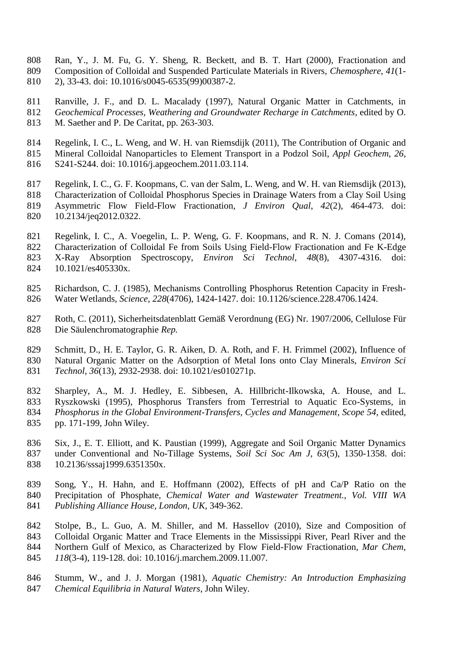- Ran, Y., J. M. Fu, G. Y. Sheng, R. Beckett, and B. T. Hart (2000), Fractionation and Composition of Colloidal and Suspended Particulate Materials in Rivers, *Chemosphere*, *41*(1- 2), 33-43. doi: 10.1016/s0045-6535(99)00387-2.
- Ranville, J. F., and D. L. Macalady (1997), Natural Organic Matter in Catchments, in *Geochemical Processes, Weathering and Groundwater Recharge in Catchments*, edited by O. M. Saether and P. De Caritat, pp. 263-303.
- Regelink, I. C., L. Weng, and W. H. van Riemsdijk (2011), The Contribution of Organic and Mineral Colloidal Nanoparticles to Element Transport in a Podzol Soil, *Appl Geochem*, *26*,
- S241-S244. doi: 10.1016/j.apgeochem.2011.03.114.
- Regelink, I. C., G. F. Koopmans, C. van der Salm, L. Weng, and W. H. van Riemsdijk (2013), Characterization of Colloidal Phosphorus Species in Drainage Waters from a Clay Soil Using Asymmetric Flow Field-Flow Fractionation, *J Environ Qual*, *42*(2), 464-473. doi: 10.2134/jeq2012.0322.
- Regelink, I. C., A. Voegelin, L. P. Weng, G. F. Koopmans, and R. N. J. Comans (2014), Characterization of Colloidal Fe from Soils Using Field-Flow Fractionation and Fe K-Edge X-Ray Absorption Spectroscopy, *Environ Sci Technol*, *48*(8), 4307-4316. doi: 10.1021/es405330x.
- Richardson, C. J. (1985), Mechanisms Controlling Phosphorus Retention Capacity in Fresh-Water Wetlands, *Science*, *228*(4706), 1424-1427. doi: 10.1126/science.228.4706.1424.
- Roth, C. (2011), Sicherheitsdatenblatt Gemäß Verordnung (EG) Nr. 1907/2006, Cellulose Für Die Säulenchromatographie *Rep.*
- Schmitt, D., H. E. Taylor, G. R. Aiken, D. A. Roth, and F. H. Frimmel (2002), Influence of Natural Organic Matter on the Adsorption of Metal Ions onto Clay Minerals, *Environ Sci Technol*, *36*(13), 2932-2938. doi: 10.1021/es010271p.
- Sharpley, A., M. J. Hedley, E. Sibbesen, A. Hillbricht-Ilkowska, A. House, and L. Ryszkowski (1995), Phosphorus Transfers from Terrestrial to Aquatic Eco-Systems, in *Phosphorus in the Global Environment-Transfers, Cycles and Management, Scope 54*, edited, pp. 171-199, John Wiley.
- Six, J., E. T. Elliott, and K. Paustian (1999), Aggregate and Soil Organic Matter Dynamics under Conventional and No-Tillage Systems, *Soil Sci Soc Am J*, *63*(5), 1350-1358. doi: 10.2136/sssaj1999.6351350x.
- Song, Y., H. Hahn, and E. Hoffmann (2002), Effects of pH and Ca/P Ratio on the Precipitation of Phosphate, *Chemical Water and Wastewater Treatment., Vol. VIII WA Publishing Alliance House, London, UK*, 349-362.
- Stolpe, B., L. Guo, A. M. Shiller, and M. Hassellov (2010), Size and Composition of Colloidal Organic Matter and Trace Elements in the Mississippi River, Pearl River and the Northern Gulf of Mexico, as Characterized by Flow Field-Flow Fractionation, *Mar Chem*, *118*(3-4), 119-128. doi: 10.1016/j.marchem.2009.11.007.
- Stumm, W., and J. J. Morgan (1981), *Aquatic Chemistry: An Introduction Emphasizing Chemical Equilibria in Natural Waters*, John Wiley.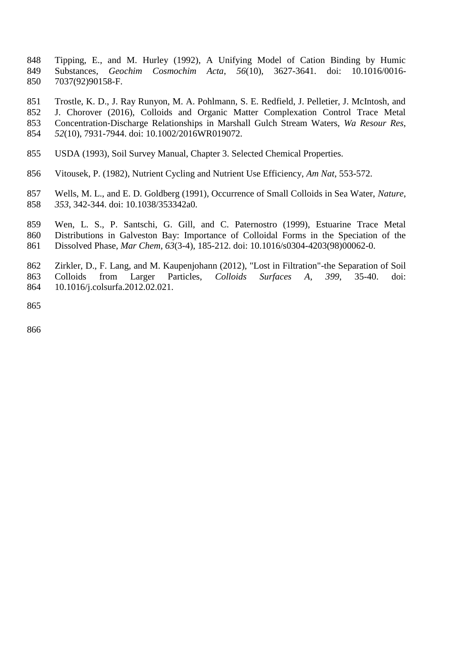- Tipping, E., and M. Hurley (1992), A Unifying Model of Cation Binding by Humic Substances, *Geochim Cosmochim Acta*, *56*(10), 3627-3641. doi: 10.1016/0016- 7037(92)90158-F.
- Trostle, K. D., J. Ray Runyon, M. A. Pohlmann, S. E. Redfield, J. Pelletier, J. McIntosh, and J. Chorover (2016), Colloids and Organic Matter Complexation Control Trace Metal Concentration‐Discharge Relationships in Marshall Gulch Stream Waters, *Wa Resour Res*, *52*(10), 7931-7944. doi: 10.1002/2016WR019072.
- USDA (1993), Soil Survey Manual, Chapter 3. Selected Chemical Properties.
- Vitousek, P. (1982), Nutrient Cycling and Nutrient Use Efficiency, *Am Nat*, 553-572.
- Wells, M. L., and E. D. Goldberg (1991), Occurrence of Small Colloids in Sea Water, *Nature*, *353*, 342-344. doi: 10.1038/353342a0.
- Wen, L. S., P. Santschi, G. Gill, and C. Paternostro (1999), Estuarine Trace Metal Distributions in Galveston Bay: Importance of Colloidal Forms in the Speciation of the Dissolved Phase, *Mar Chem*, *63*(3-4), 185-212. doi: 10.1016/s0304-4203(98)00062-0.
- Zirkler, D., F. Lang, and M. Kaupenjohann (2012), "Lost in Filtration"-the Separation of Soil Colloids from Larger Particles, *Colloids Surfaces A*, *399*, 35-40. doi: 10.1016/j.colsurfa.2012.02.021.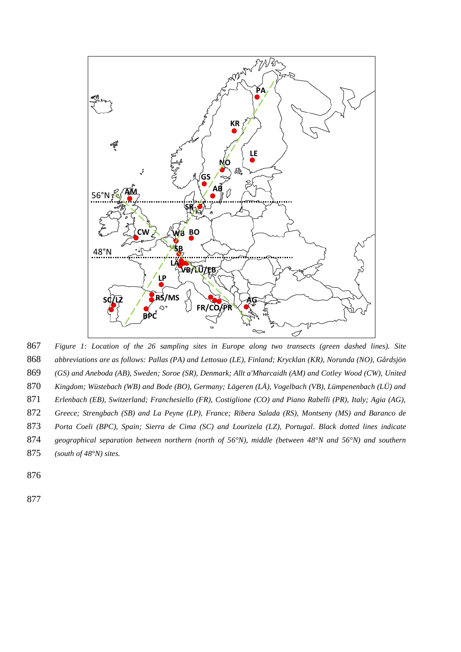

867 *Figure 1: Location of the 26 sampling sites in Europe along two transects (green dashed lines). Site*  868 *abbreviations are as follows: Pallas (PA) and Lettosuo (LE), Finland; Krycklan (KR), Norunda (NO), Gårdsjön*  869 *(GS) and Aneboda (AB), Sweden; Soroe (SR), Denmark; Allt a'Mharcaidh (AM) and Cotley Wood (CW), United*  870 *Kingdom; Wüstebach (WB) and Bode (BO), Germany; Lägeren (LÄ), Vogelbach (VB), Lümpenenbach (LÜ) and*  871 *Erlenbach (EB), Switzerland; Franchesiello (FR), Costiglione (CO) and Piano Rabelli (PR), Italy; Agia (AG),*  872 *Greece; Strengbach (SB) and La Peyne (LP), France; Ribera Salada (RS), Montseny (MS) and Baranco de*  873 *Porta Coeli (BPC), Spain; Sierra de Cima (SC) and Lourizela (LZ), Portugal. Black dotted lines indicate*  874 *geographical separation between northern (north of 56°N), middle (between 48°N and 56°N) and southern*  875 *(south of 48°N) sites.*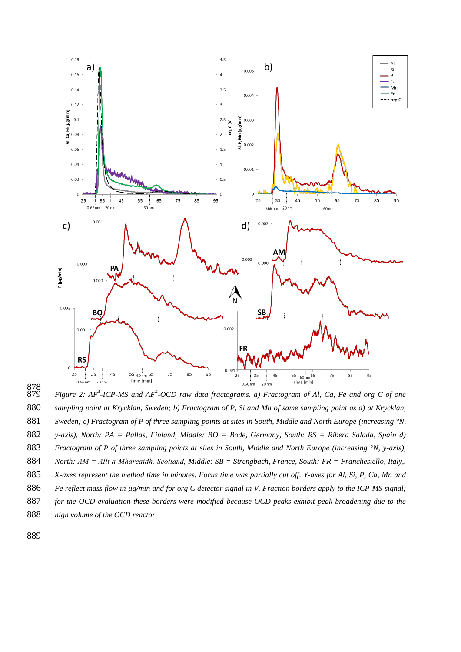

  $\widetilde{879}$  *- Figure* 2: AF<sup>4</sup>-ICP-MS and AF<sup>4</sup>-OCD raw data fractograms. a) Fractogram of Al, Ca, Fe and org C of one *sampling point at Krycklan, Sweden; b) Fractogram of P, Si and Mn of same sampling point as a) at Krycklan, Sweden; c) Fractogram of P of three sampling points at sites in South, Middle and North Europe (increasing °N, y-axis), North: PA = Pallas, Finland, Middle: BO = Bode, Germany, South: RS = Ribera Salada, Spain d) Fractogram of P of three sampling points at sites in South, Middle and North Europe (increasing °N, y-axis), North: AM = Allt a'Mharcaidh, Scotland, Middle: SB = Strengbach, France, South: FR = Franchesiello, Italy,. X-axes represent the method time in minutes. Focus time was partially cut off. Y-axes for Al, Si, P, Ca, Mn and Fe reflect mass flow in µg/min and for org C detector signal in V. Fraction borders apply to the ICP-MS signal; for the OCD evaluation these borders were modified because OCD peaks exhibit peak broadening due to the high volume of the OCD reactor.*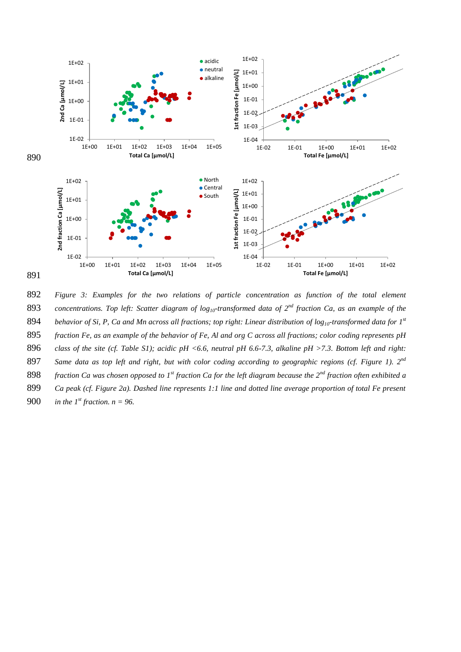

892 *Figure 3: Examples for the two relations of particle concentration as function of the total element*  **893** *concentrations. Top left: Scatter diagram of*  $log_{10}$ *-transformed data of*  $2^{nd}$  fraction Ca, as an example of the 894 behavior of Si, P, Ca and Mn across all fractions; top right: Linear distribution of  $log_{10}$ -transformed data for  $1^{st}$ 895 *fraction Fe, as an example of the behavior of Fe, Al and org C across all fractions; color coding represents pH*  896 *class of the site (cf. Table S1); acidic pH <6.6, neutral pH 6.6-7.3, alkaline pH >7.3. Bottom left and right:*  897 Same data as top left and right, but with color coding according to geographic regions (cf. Figure 1). 2<sup>nd</sup> **898** *fraction Ca was chosen opposed to 1<sup>st</sup> fraction Ca for the left diagram because the 2<sup>nd</sup> fraction often exhibited a* 899 *Ca peak (cf. Figure 2a). Dashed line represents 1:1 line and dotted line average proportion of total Fe present*  **900** *in the 1<sup>st</sup> fraction.*  $n = 96$ .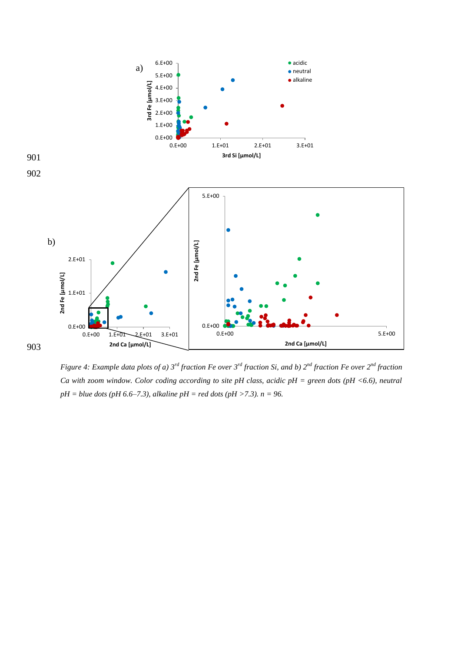

*Figure 4: Example data plots of a) 3rd fraction Fe over 3rd fraction Si, and b) 2nd fraction Fe over 2nd fraction Ca with zoom window. Color coding according to site pH class, acidic pH = green dots (pH <6.6), neutral pH = blue dots (pH 6.6–7.3), alkaline pH = red dots (pH >7.3). n = 96.*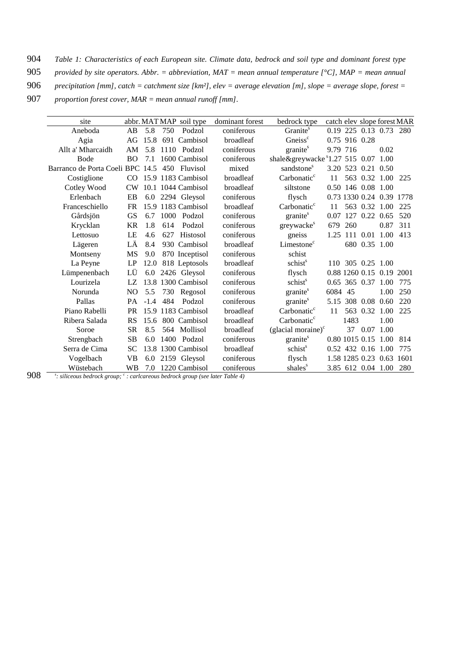904 *Table 1: Characteristics of each European site. Climate data, bedrock and soil type and dominant forest type* 

- 905 *provided by site operators. Abbr. = abbreviation, MAT = mean annual temperature [°C], MAP = mean annual*
- 906 *precipitation [mm], catch = catchment size [km²], elev = average elevation [m], slope = average slope, forest =*
- 907 *proportion forest cover, MAR = mean annual runoff [mm].*

| site                             |           |        |      | abbr. MAT MAP soil type | dominant forest | bedrock type                    |          |                |                    |                          | catch elev slope forest MAR |
|----------------------------------|-----------|--------|------|-------------------------|-----------------|---------------------------------|----------|----------------|--------------------|--------------------------|-----------------------------|
| Aneboda                          | AB        | 5.8    | 750  | Podzol                  | coniferous      | Granite <sup>s</sup>            |          |                |                    | 0.19 225 0.13 0.73 280   |                             |
| Agia                             | AG        | 15.8   |      | 691 Cambisol            | broadleaf       | Gneiss <sup>c</sup>             |          | 0.75 916 0.28  |                    |                          |                             |
| Allt a' Mharcaidh                | AM        | 5.8    |      | 1110 Podzol             | coniferous      | granite <sup>s</sup>            | 9.79 716 |                |                    | 0.02                     |                             |
| Bode                             | <b>BO</b> | 7.1    |      | 1600 Cambisol           | coniferous      | shale&greywacke \$1.27 515 0.07 |          |                |                    | 1.00                     |                             |
| Barranco de Porta Coeli BPC 14.5 |           |        |      | 450 Fluvisol            | mixed           | sandstone <sup>s</sup>          |          |                | 3.20 523 0.21      | 0.50                     |                             |
| Costiglione                      |           |        |      | CO 15.9 1183 Cambisol   | broadleaf       | Carbonatic <sup>c</sup>         | 11       |                | 563 0.32           | 1.00                     | 225                         |
| Cotley Wood                      | CW        |        |      | 10.1 1044 Cambisol      | broadleaf       | siltstone                       |          |                | 0.50 146 0.08 1.00 |                          |                             |
| Erlenbach                        | EB        |        |      | 6.0 2294 Gleysol        | coniferous      | flysch                          |          |                |                    |                          | 0.73 1330 0.24 0.39 1778    |
| Franceschiello                   | <b>FR</b> |        |      | 15.9 1183 Cambisol      | broadleaf       | Carbonatic <sup>c</sup>         | 11       |                | 563 0.32           | 1.00                     | 225                         |
| Gårdsjön                         | <b>GS</b> | 6.7    | 1000 | Podzol                  | coniferous      | granite <sup>s</sup>            | 0.07     |                | 127 0.22           | 0.65                     | 520                         |
| Krycklan                         | <b>KR</b> | 1.8    | 614  | Podzol                  | coniferous      | greywacke <sup>s</sup>          | 679      | 260            |                    | 0.87                     | 311                         |
| Lettosuo                         | LE        | 4.6    | 627  | Histosol                | coniferous      | gneiss                          | 1.25     |                | 111 0.01           | 1.00                     | 413                         |
| Lägeren                          | LÄ        | 8.4    |      | 930 Cambisol            | broadleaf       | Limestone <sup>c</sup>          |          |                | 680 0.35 1.00      |                          |                             |
| Montseny                         | MS        | 9.0    |      | 870 Inceptisol          | coniferous      | schist                          |          |                |                    |                          |                             |
| La Peyne                         | LP        | 12.0   |      | 818 Leptosols           | broadleaf       | schist <sup>s</sup>             | 110      |                | 305 0.25 1.00      |                          |                             |
| Lümpenenbach                     | LÜ        | 6.0    |      | 2426 Gleysol            | coniferous      | flysch                          |          |                |                    | 0.88 1260 0.15 0.19 2001 |                             |
| Lourizela                        | LZ        |        |      | 13.8 1300 Cambisol      | coniferous      | schist <sup>s</sup>             |          | 0.65 365 0.37  |                    | 1.00                     | 775                         |
| Norunda                          | NO.       | 5.5    | 730  | Regosol                 | coniferous      | granite <sup>s</sup>            | 6084 45  |                |                    | 1.00                     | 250                         |
| Pallas                           | PA        | $-1.4$ | 484  | Podzol                  | coniferous      | granite <sup>s</sup>            |          | 5.15 308 0.08  |                    | 0.60                     | 220                         |
| Piano Rabelli                    | <b>PR</b> |        |      | 15.9 1183 Cambisol      | broadleaf       | Carbonatic <sup>c</sup>         | 11       |                | 563 0.32           | 1.00                     | 225                         |
| Ribera Salada                    | <b>RS</b> | 15.6   |      | 800 Cambisol            | broadleaf       | Carbonatic <sup>c</sup>         |          | 1483           |                    | 1.00                     |                             |
| Soroe                            | <b>SR</b> | 8.5    |      | 564 Mollisol            | broadleaf       | $(glacial mor)c$                |          | 37             | 0.07               | 1.00                     |                             |
| Strengbach                       | <b>SB</b> | 6.0    |      | 1400 Podzol             | coniferous      | granite <sup>s</sup>            |          | 0.80 1015 0.15 |                    | 1.00                     | 814                         |
| Serra de Cima                    | <b>SC</b> |        |      | 13.8 1300 Cambisol      | broadleaf       | schist <sup>s</sup>             |          |                | $0.52$ 432 $0.16$  | 1.00                     | 775                         |
| Vogelbach                        | <b>VB</b> | 6.0    |      | 2159 Gleysol            | coniferous      | flysch                          |          |                | 1.58 1285 0.23     | 0.63                     | 1601                        |
| Wüstebach                        | WВ        |        |      | 7.0 1220 Cambisol       | coniferous      | shales <sup>s</sup>             |          |                |                    | 3.85 612 0.04 1.00       | 280                         |

908 **••** *s*: siliceous bedrock group; <sup>*c*</sup> : carlcareous bedrock group (see later Table 4)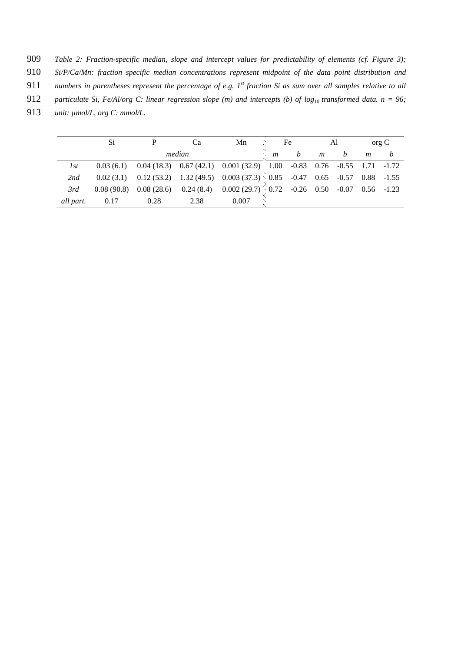909 *Table 2: Fraction-specific median, slope and intercept values for predictability of elements (cf. Figure 3);* 

- 910 *Si/P/Ca/Mn: fraction specific median concentrations represent midpoint of the data point distribution and*
- 911 numbers in parentheses represent the percentage of e.g. 1<sup>st</sup> fraction Si as sum over all samples relative to all
- 912 *particulate Si, Fe/Al/org C: linear regression slope (m) and intercepts (b) of log<sub>10</sub> transformed data. n = 96;*
- 913 *unit: µmol/L, org C: mmol/L.*

|           | Si   |        | Ca   | Mn                                                                                                                                                          | Fe |  | Al             |                  | $\sigma$ org $\sigma$ |  |
|-----------|------|--------|------|-------------------------------------------------------------------------------------------------------------------------------------------------------------|----|--|----------------|------------------|-----------------------|--|
|           |      | median |      |                                                                                                                                                             |    |  | $\mathfrak{m}$ | $\boldsymbol{b}$ | $\mathfrak{m}$        |  |
| 1st       |      |        |      | $0.03\ (6.1)\quad \  0.04\ (18.3)\quad \  0.67\ (42.1)\quad \  0.001\ (32.9)\quad \  1.00\quad \ -0.83\quad \  0.76\quad \ -0.55\quad \  1.71\quad \ -1.72$ |    |  |                |                  |                       |  |
| 2nd       |      |        |      | 0.02 (3.1) 0.12 (53.2) 1.32 (49.5) 0.003 (37.3) 0.85 -0.47 0.65 -0.57 0.88 -1.55                                                                            |    |  |                |                  |                       |  |
| 3rd       |      |        |      | 0.08 (90.8) 0.08 (28.6) 0.24 (8.4) 0.002 (29.7) $\bigg\{\begin{array}{ccc} 0.72 & -0.26 & 0.50 & -0.07 & 0.56 & -1.23 \end{array}\right\}$                  |    |  |                |                  |                       |  |
| all part. | 0.17 | 0.28   | 2.38 | 0.007                                                                                                                                                       |    |  |                |                  |                       |  |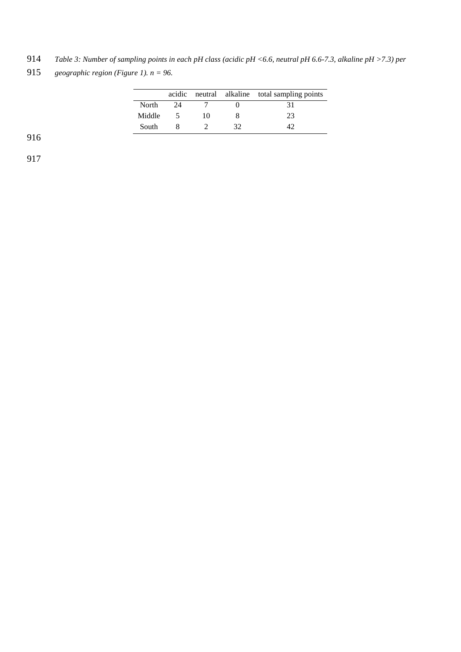914 *Table 3: Number of sampling points in each pH class (acidic pH <6.6, neutral pH 6.6-7.3, alkaline pH >7.3) per* 

915 *geographic region (Figure 1).*  $n = 96$ .

|        |    |    | acidic neutral alkaline total sampling points |
|--------|----|----|-----------------------------------------------|
| North  | 24 |    | 31                                            |
| Middle |    | 10 | 23                                            |
| South  |    |    |                                               |